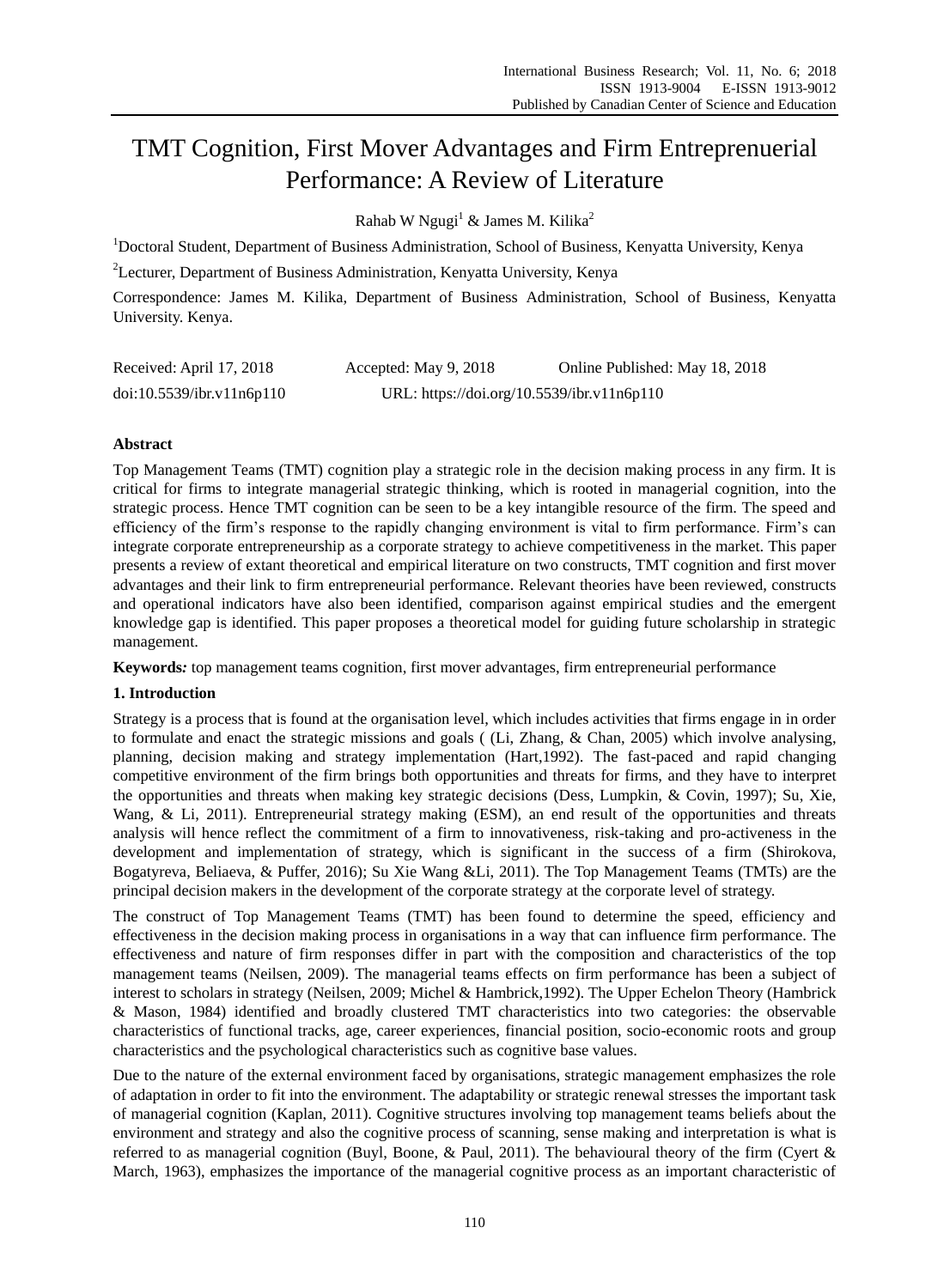# TMT Cognition, First Mover Advantages and Firm Entreprenuerial Performance: A Review of Literature

Rahab W Ngugi<sup>1</sup> & James M. Kilika<sup>2</sup>

<sup>1</sup>Doctoral Student, Department of Business Administration, School of Business, Kenyatta University, Kenya

<sup>2</sup>Lecturer, Department of Business Administration, Kenyatta University, Kenya

Correspondence: James M. Kilika, Department of Business Administration, School of Business, Kenyatta University. Kenya.

| Received: April 17, 2018  | Accepted: May 9, 2018                      | Online Published: May 18, 2018 |
|---------------------------|--------------------------------------------|--------------------------------|
| doi:10.5539/ibr.v11n6p110 | URL: https://doi.org/10.5539/ibr.v11n6p110 |                                |

# **Abstract**

Top Management Teams (TMT) cognition play a strategic role in the decision making process in any firm. It is critical for firms to integrate managerial strategic thinking, which is rooted in managerial cognition, into the strategic process. Hence TMT cognition can be seen to be a key intangible resource of the firm. The speed and efficiency of the firm's response to the rapidly changing environment is vital to firm performance. Firm's can integrate corporate entrepreneurship as a corporate strategy to achieve competitiveness in the market. This paper presents a review of extant theoretical and empirical literature on two constructs, TMT cognition and first mover advantages and their link to firm entrepreneurial performance. Relevant theories have been reviewed, constructs and operational indicators have also been identified, comparison against empirical studies and the emergent knowledge gap is identified. This paper proposes a theoretical model for guiding future scholarship in strategic management.

**Keywords***:* top management teams cognition, first mover advantages, firm entrepreneurial performance

# **1. Introduction**

Strategy is a process that is found at the organisation level, which includes activities that firms engage in in order to formulate and enact the strategic missions and goals ( (Li, Zhang, & Chan, 2005) which involve analysing, planning, decision making and strategy implementation (Hart,1992). The fast-paced and rapid changing competitive environment of the firm brings both opportunities and threats for firms, and they have to interpret the opportunities and threats when making key strategic decisions (Dess, Lumpkin, & Covin, 1997); Su, Xie, Wang, & Li, 2011). Entrepreneurial strategy making (ESM), an end result of the opportunities and threats analysis will hence reflect the commitment of a firm to innovativeness, risk-taking and pro-activeness in the development and implementation of strategy, which is significant in the success of a firm (Shirokova, Bogatyreva, Beliaeva, & Puffer, 2016); Su Xie Wang &Li, 2011). The Top Management Teams (TMTs) are the principal decision makers in the development of the corporate strategy at the corporate level of strategy.

The construct of Top Management Teams (TMT) has been found to determine the speed, efficiency and effectiveness in the decision making process in organisations in a way that can influence firm performance. The effectiveness and nature of firm responses differ in part with the composition and characteristics of the top management teams (Neilsen, 2009). The managerial teams effects on firm performance has been a subject of interest to scholars in strategy (Neilsen, 2009; Michel & Hambrick,1992). The Upper Echelon Theory (Hambrick & Mason, 1984) identified and broadly clustered TMT characteristics into two categories: the observable characteristics of functional tracks, age, career experiences, financial position, socio-economic roots and group characteristics and the psychological characteristics such as cognitive base values.

Due to the nature of the external environment faced by organisations, strategic management emphasizes the role of adaptation in order to fit into the environment. The adaptability or strategic renewal stresses the important task of managerial cognition (Kaplan, 2011). Cognitive structures involving top management teams beliefs about the environment and strategy and also the cognitive process of scanning, sense making and interpretation is what is referred to as managerial cognition (Buyl, Boone, & Paul, 2011). The behavioural theory of the firm (Cyert & March, 1963), emphasizes the importance of the managerial cognitive process as an important characteristic of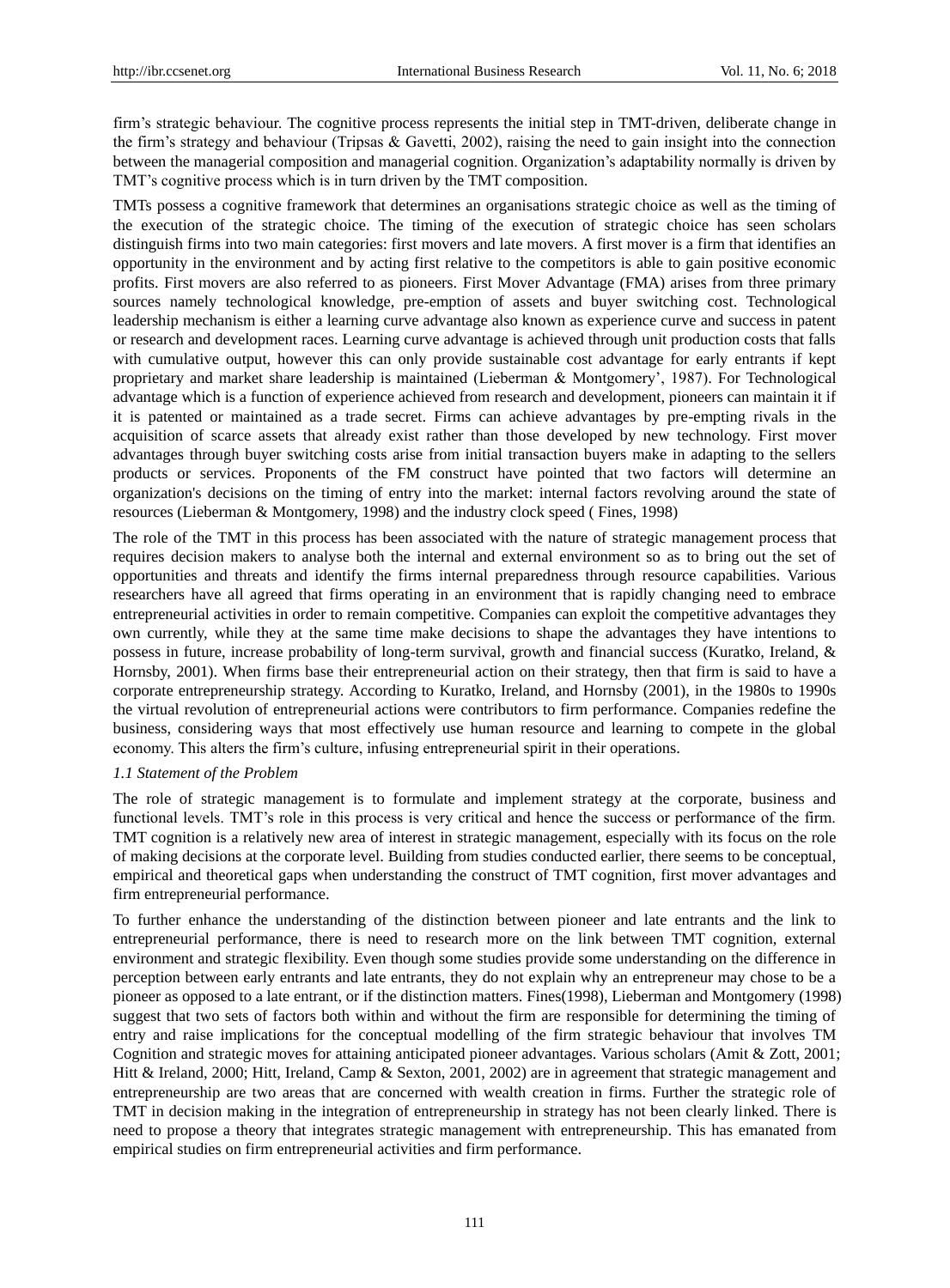firm's strategic behaviour. The cognitive process represents the initial step in TMT-driven, deliberate change in the firm's strategy and behaviour (Tripsas & Gavetti, 2002), raising the need to gain insight into the connection between the managerial composition and managerial cognition. Organization's adaptability normally is driven by TMT's cognitive process which is in turn driven by the TMT composition.

TMTs possess a cognitive framework that determines an organisations strategic choice as well as the timing of the execution of the strategic choice. The timing of the execution of strategic choice has seen scholars distinguish firms into two main categories: first movers and late movers. A first mover is a firm that identifies an opportunity in the environment and by acting first relative to the competitors is able to gain positive economic profits. First movers are also referred to as pioneers. First Mover Advantage (FMA) arises from three primary sources namely technological knowledge, pre-emption of assets and buyer switching cost. Technological leadership mechanism is either a learning curve advantage also known as experience curve and success in patent or research and development races. Learning curve advantage is achieved through unit production costs that falls with cumulative output, however this can only provide sustainable cost advantage for early entrants if kept proprietary and market share leadership is maintained (Lieberman & Montgomery', 1987). For Technological advantage which is a function of experience achieved from research and development, pioneers can maintain it if it is patented or maintained as a trade secret. Firms can achieve advantages by pre-empting rivals in the acquisition of scarce assets that already exist rather than those developed by new technology. First mover advantages through buyer switching costs arise from initial transaction buyers make in adapting to the sellers products or services. Proponents of the FM construct have pointed that two factors will determine an organization's decisions on the timing of entry into the market: internal factors revolving around the state of resources (Lieberman & Montgomery, 1998) and the industry clock speed ( Fines, 1998)

The role of the TMT in this process has been associated with the nature of strategic management process that requires decision makers to analyse both the internal and external environment so as to bring out the set of opportunities and threats and identify the firms internal preparedness through resource capabilities. Various researchers have all agreed that firms operating in an environment that is rapidly changing need to embrace entrepreneurial activities in order to remain competitive. Companies can exploit the competitive advantages they own currently, while they at the same time make decisions to shape the advantages they have intentions to possess in future, increase probability of long-term survival, growth and financial success (Kuratko, Ireland, & Hornsby, 2001). When firms base their entrepreneurial action on their strategy, then that firm is said to have a corporate entrepreneurship strategy. According to Kuratko, Ireland, and Hornsby (2001), in the 1980s to 1990s the virtual revolution of entrepreneurial actions were contributors to firm performance. Companies redefine the business, considering ways that most effectively use human resource and learning to compete in the global economy. This alters the firm's culture, infusing entrepreneurial spirit in their operations.

# *1.1 Statement of the Problem*

The role of strategic management is to formulate and implement strategy at the corporate, business and functional levels. TMT's role in this process is very critical and hence the success or performance of the firm. TMT cognition is a relatively new area of interest in strategic management, especially with its focus on the role of making decisions at the corporate level. Building from studies conducted earlier, there seems to be conceptual, empirical and theoretical gaps when understanding the construct of TMT cognition, first mover advantages and firm entrepreneurial performance.

To further enhance the understanding of the distinction between pioneer and late entrants and the link to entrepreneurial performance, there is need to research more on the link between TMT cognition, external environment and strategic flexibility. Even though some studies provide some understanding on the difference in perception between early entrants and late entrants, they do not explain why an entrepreneur may chose to be a pioneer as opposed to a late entrant, or if the distinction matters. Fines(1998), Lieberman and Montgomery (1998) suggest that two sets of factors both within and without the firm are responsible for determining the timing of entry and raise implications for the conceptual modelling of the firm strategic behaviour that involves TM Cognition and strategic moves for attaining anticipated pioneer advantages. Various scholars (Amit & Zott, 2001; Hitt & Ireland, 2000; Hitt, Ireland, Camp & Sexton, 2001, 2002) are in agreement that strategic management and entrepreneurship are two areas that are concerned with wealth creation in firms. Further the strategic role of TMT in decision making in the integration of entrepreneurship in strategy has not been clearly linked. There is need to propose a theory that integrates strategic management with entrepreneurship. This has emanated from empirical studies on firm entrepreneurial activities and firm performance.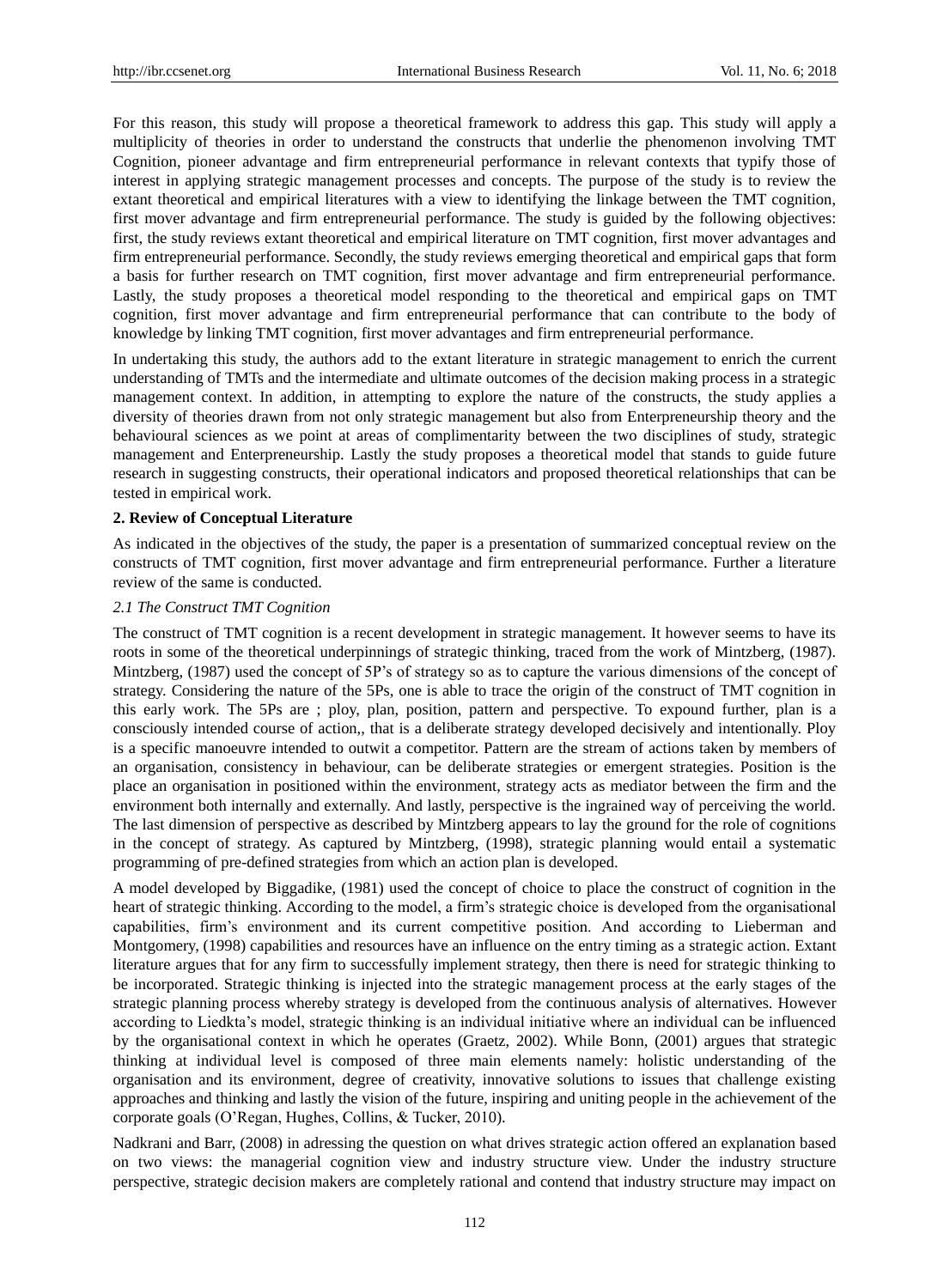For this reason, this study will propose a theoretical framework to address this gap. This study will apply a multiplicity of theories in order to understand the constructs that underlie the phenomenon involving TMT Cognition, pioneer advantage and firm entrepreneurial performance in relevant contexts that typify those of interest in applying strategic management processes and concepts. The purpose of the study is to review the extant theoretical and empirical literatures with a view to identifying the linkage between the TMT cognition, first mover advantage and firm entrepreneurial performance. The study is guided by the following objectives: first, the study reviews extant theoretical and empirical literature on TMT cognition, first mover advantages and firm entrepreneurial performance. Secondly, the study reviews emerging theoretical and empirical gaps that form a basis for further research on TMT cognition, first mover advantage and firm entrepreneurial performance. Lastly, the study proposes a theoretical model responding to the theoretical and empirical gaps on TMT cognition, first mover advantage and firm entrepreneurial performance that can contribute to the body of knowledge by linking TMT cognition, first mover advantages and firm entrepreneurial performance.

In undertaking this study, the authors add to the extant literature in strategic management to enrich the current understanding of TMTs and the intermediate and ultimate outcomes of the decision making process in a strategic management context. In addition, in attempting to explore the nature of the constructs, the study applies a diversity of theories drawn from not only strategic management but also from Enterpreneurship theory and the behavioural sciences as we point at areas of complimentarity between the two disciplines of study, strategic management and Enterpreneurship. Lastly the study proposes a theoretical model that stands to guide future research in suggesting constructs, their operational indicators and proposed theoretical relationships that can be tested in empirical work.

#### **2. Review of Conceptual Literature**

As indicated in the objectives of the study, the paper is a presentation of summarized conceptual review on the constructs of TMT cognition, first mover advantage and firm entrepreneurial performance. Further a literature review of the same is conducted.

#### *2.1 The Construct TMT Cognition*

The construct of TMT cognition is a recent development in strategic management. It however seems to have its roots in some of the theoretical underpinnings of strategic thinking, traced from the work of Mintzberg, (1987). Mintzberg, (1987) used the concept of 5P's of strategy so as to capture the various dimensions of the concept of strategy. Considering the nature of the 5Ps, one is able to trace the origin of the construct of TMT cognition in this early work. The 5Ps are ; ploy, plan, position, pattern and perspective. To expound further, plan is a consciously intended course of action,, that is a deliberate strategy developed decisively and intentionally. Ploy is a specific manoeuvre intended to outwit a competitor. Pattern are the stream of actions taken by members of an organisation, consistency in behaviour, can be deliberate strategies or emergent strategies. Position is the place an organisation in positioned within the environment, strategy acts as mediator between the firm and the environment both internally and externally. And lastly, perspective is the ingrained way of perceiving the world. The last dimension of perspective as described by Mintzberg appears to lay the ground for the role of cognitions in the concept of strategy. As captured by Mintzberg, (1998), strategic planning would entail a systematic programming of pre-defined strategies from which an action plan is developed.

A model developed by Biggadike, (1981) used the concept of choice to place the construct of cognition in the heart of strategic thinking. According to the model, a firm's strategic choice is developed from the organisational capabilities, firm's environment and its current competitive position. And according to Lieberman and Montgomery, (1998) capabilities and resources have an influence on the entry timing as a strategic action. Extant literature argues that for any firm to successfully implement strategy, then there is need for strategic thinking to be incorporated. Strategic thinking is injected into the strategic management process at the early stages of the strategic planning process whereby strategy is developed from the continuous analysis of alternatives. However according to Liedkta's model, strategic thinking is an individual initiative where an individual can be influenced by the organisational context in which he operates (Graetz, 2002). While Bonn, (2001) argues that strategic thinking at individual level is composed of three main elements namely: holistic understanding of the organisation and its environment, degree of creativity, innovative solutions to issues that challenge existing approaches and thinking and lastly the vision of the future, inspiring and uniting people in the achievement of the corporate goals (O'Regan, Hughes, Collins, & Tucker, 2010).

Nadkrani and Barr, (2008) in adressing the question on what drives strategic action offered an explanation based on two views: the managerial cognition view and industry structure view. Under the industry structure perspective, strategic decision makers are completely rational and contend that industry structure may impact on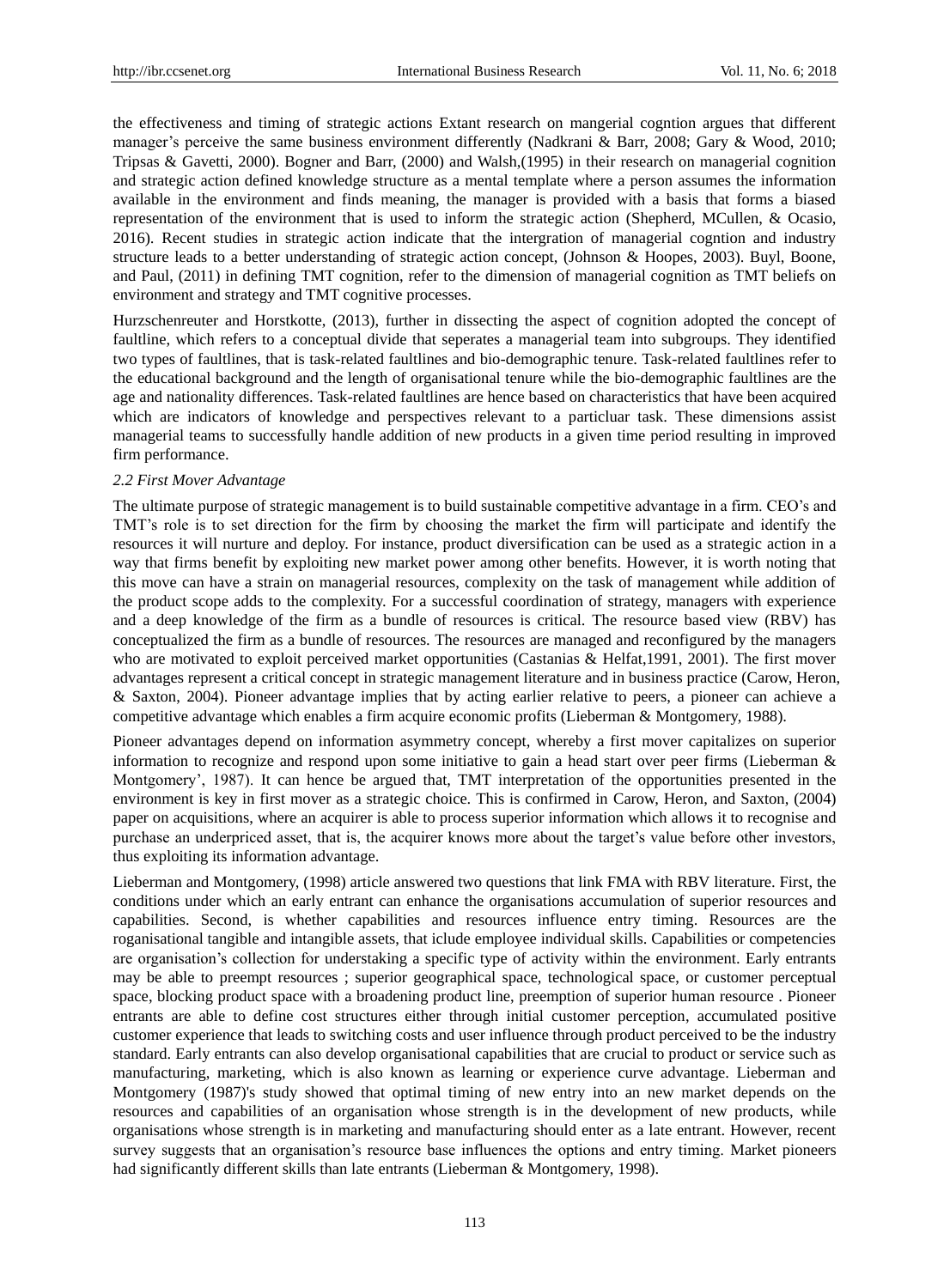the effectiveness and timing of strategic actions Extant research on mangerial cogntion argues that different manager's perceive the same business environment differently (Nadkrani & Barr, 2008; Gary & Wood, 2010; Tripsas & Gavetti, 2000). Bogner and Barr, (2000) and Walsh,(1995) in their research on managerial cognition and strategic action defined knowledge structure as a mental template where a person assumes the information available in the environment and finds meaning, the manager is provided with a basis that forms a biased representation of the environment that is used to inform the strategic action (Shepherd, MCullen, & Ocasio, 2016). Recent studies in strategic action indicate that the intergration of managerial cogntion and industry structure leads to a better understanding of strategic action concept, (Johnson & Hoopes, 2003). Buyl, Boone, and Paul, (2011) in defining TMT cognition, refer to the dimension of managerial cognition as TMT beliefs on environment and strategy and TMT cognitive processes.

Hurzschenreuter and Horstkotte, (2013), further in dissecting the aspect of cognition adopted the concept of faultline, which refers to a conceptual divide that seperates a managerial team into subgroups. They identified two types of faultlines, that is task-related faultlines and bio-demographic tenure. Task-related faultlines refer to the educational background and the length of organisational tenure while the bio-demographic faultlines are the age and nationality differences. Task-related faultlines are hence based on characteristics that have been acquired which are indicators of knowledge and perspectives relevant to a particluar task. These dimensions assist managerial teams to successfully handle addition of new products in a given time period resulting in improved firm performance.

#### *2.2 First Mover Advantage*

The ultimate purpose of strategic management is to build sustainable competitive advantage in a firm. CEO's and TMT's role is to set direction for the firm by choosing the market the firm will participate and identify the resources it will nurture and deploy. For instance, product diversification can be used as a strategic action in a way that firms benefit by exploiting new market power among other benefits. However, it is worth noting that this move can have a strain on managerial resources, complexity on the task of management while addition of the product scope adds to the complexity. For a successful coordination of strategy, managers with experience and a deep knowledge of the firm as a bundle of resources is critical. The resource based view (RBV) has conceptualized the firm as a bundle of resources. The resources are managed and reconfigured by the managers who are motivated to exploit perceived market opportunities (Castanias & Helfat,1991, 2001). The first mover advantages represent a critical concept in strategic management literature and in business practice (Carow, Heron, & Saxton, 2004). Pioneer advantage implies that by acting earlier relative to peers, a pioneer can achieve a competitive advantage which enables a firm acquire economic profits (Lieberman & Montgomery, 1988).

Pioneer advantages depend on information asymmetry concept, whereby a first mover capitalizes on superior information to recognize and respond upon some initiative to gain a head start over peer firms (Lieberman & Montgomery', 1987). It can hence be argued that, TMT interpretation of the opportunities presented in the environment is key in first mover as a strategic choice. This is confirmed in Carow, Heron, and Saxton, (2004) paper on acquisitions, where an acquirer is able to process superior information which allows it to recognise and purchase an underpriced asset, that is, the acquirer knows more about the target's value before other investors, thus exploiting its information advantage.

Lieberman and Montgomery, (1998) article answered two questions that link FMA with RBV literature. First, the conditions under which an early entrant can enhance the organisations accumulation of superior resources and capabilities. Second, is whether capabilities and resources influence entry timing. Resources are the roganisational tangible and intangible assets, that iclude employee individual skills. Capabilities or competencies are organisation's collection for understaking a specific type of activity within the environment. Early entrants may be able to preempt resources ; superior geographical space, technological space, or customer perceptual space, blocking product space with a broadening product line, preemption of superior human resource . Pioneer entrants are able to define cost structures either through initial customer perception, accumulated positive customer experience that leads to switching costs and user influence through product perceived to be the industry standard. Early entrants can also develop organisational capabilities that are crucial to product or service such as manufacturing, marketing, which is also known as learning or experience curve advantage. Lieberman and Montgomery (1987)'s study showed that optimal timing of new entry into an new market depends on the resources and capabilities of an organisation whose strength is in the development of new products, while organisations whose strength is in marketing and manufacturing should enter as a late entrant. However, recent survey suggests that an organisation's resource base influences the options and entry timing. Market pioneers had significantly different skills than late entrants (Lieberman & Montgomery, 1998).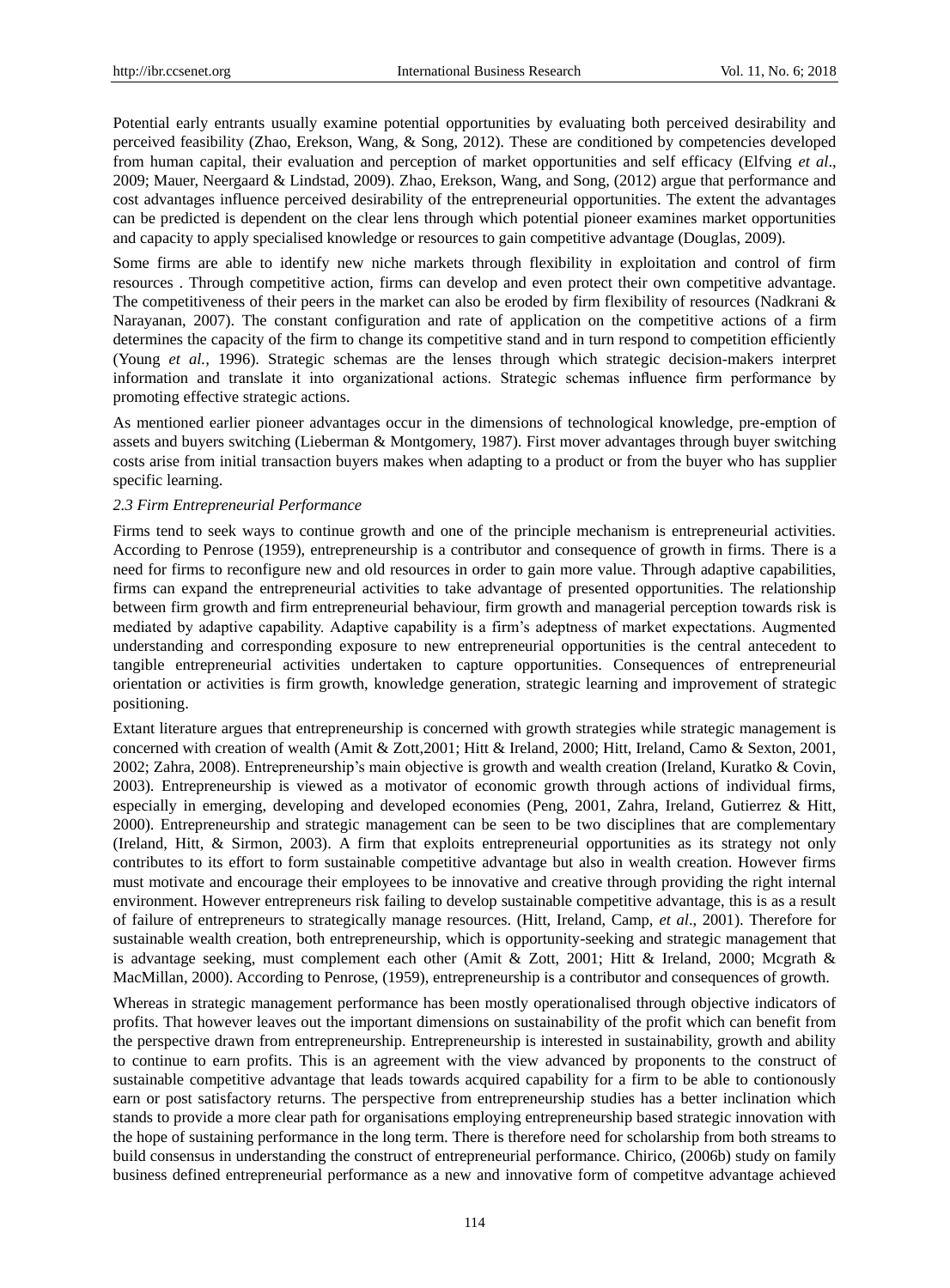Potential early entrants usually examine potential opportunities by evaluating both perceived desirability and perceived feasibility (Zhao, Erekson, Wang, & Song, 2012). These are conditioned by competencies developed from human capital, their evaluation and perception of market opportunities and self efficacy (Elfving *et al*., 2009; Mauer, Neergaard & Lindstad, 2009). Zhao, Erekson, Wang, and Song, (2012) argue that performance and cost advantages influence perceived desirability of the entrepreneurial opportunities. The extent the advantages can be predicted is dependent on the clear lens through which potential pioneer examines market opportunities and capacity to apply specialised knowledge or resources to gain competitive advantage (Douglas, 2009).

Some firms are able to identify new niche markets through flexibility in exploitation and control of firm resources . Through competitive action, firms can develop and even protect their own competitive advantage. The competitiveness of their peers in the market can also be eroded by firm flexibility of resources (Nadkrani & Narayanan, 2007). The constant configuration and rate of application on the competitive actions of a firm determines the capacity of the firm to change its competitive stand and in turn respond to competition efficiently (Young *et al.,* 1996). Strategic schemas are the lenses through which strategic decision-makers interpret information and translate it into organizational actions. Strategic schemas influence firm performance by promoting effective strategic actions.

As mentioned earlier pioneer advantages occur in the dimensions of technological knowledge, pre-emption of assets and buyers switching (Lieberman & Montgomery, 1987). First mover advantages through buyer switching costs arise from initial transaction buyers makes when adapting to a product or from the buyer who has supplier specific learning.

#### *2.3 Firm Entrepreneurial Performance*

Firms tend to seek ways to continue growth and one of the principle mechanism is entrepreneurial activities. According to Penrose (1959), entrepreneurship is a contributor and consequence of growth in firms. There is a need for firms to reconfigure new and old resources in order to gain more value. Through adaptive capabilities, firms can expand the entrepreneurial activities to take advantage of presented opportunities. The relationship between firm growth and firm entrepreneurial behaviour, firm growth and managerial perception towards risk is mediated by adaptive capability. Adaptive capability is a firm's adeptness of market expectations. Augmented understanding and corresponding exposure to new entrepreneurial opportunities is the central antecedent to tangible entrepreneurial activities undertaken to capture opportunities. Consequences of entrepreneurial orientation or activities is firm growth, knowledge generation, strategic learning and improvement of strategic positioning.

Extant literature argues that entrepreneurship is concerned with growth strategies while strategic management is concerned with creation of wealth (Amit & Zott,2001; Hitt & Ireland, 2000; Hitt, Ireland, Camo & Sexton, 2001, 2002; Zahra, 2008). Entrepreneurship's main objective is growth and wealth creation (Ireland, Kuratko & Covin, 2003). Entrepreneurship is viewed as a motivator of economic growth through actions of individual firms, especially in emerging, developing and developed economies (Peng, 2001, Zahra, Ireland, Gutierrez & Hitt, 2000). Entrepreneurship and strategic management can be seen to be two disciplines that are complementary (Ireland, Hitt, & Sirmon, 2003). A firm that exploits entrepreneurial opportunities as its strategy not only contributes to its effort to form sustainable competitive advantage but also in wealth creation. However firms must motivate and encourage their employees to be innovative and creative through providing the right internal environment. However entrepreneurs risk failing to develop sustainable competitive advantage, this is as a result of failure of entrepreneurs to strategically manage resources. (Hitt, Ireland, Camp, *et al*., 2001). Therefore for sustainable wealth creation, both entrepreneurship, which is opportunity-seeking and strategic management that is advantage seeking, must complement each other (Amit & Zott, 2001; Hitt & Ireland, 2000; Mcgrath & MacMillan, 2000). According to Penrose, (1959), entrepreneurship is a contributor and consequences of growth.

Whereas in strategic management performance has been mostly operationalised through objective indicators of profits. That however leaves out the important dimensions on sustainability of the profit which can benefit from the perspective drawn from entrepreneurship. Entrepreneurship is interested in sustainability, growth and ability to continue to earn profits. This is an agreement with the view advanced by proponents to the construct of sustainable competitive advantage that leads towards acquired capability for a firm to be able to contionously earn or post satisfactory returns. The perspective from entrepreneurship studies has a better inclination which stands to provide a more clear path for organisations employing entrepreneurship based strategic innovation with the hope of sustaining performance in the long term. There is therefore need for scholarship from both streams to build consensus in understanding the construct of entrepreneurial performance. Chirico, (2006b) study on family business defined entrepreneurial performance as a new and innovative form of competitve advantage achieved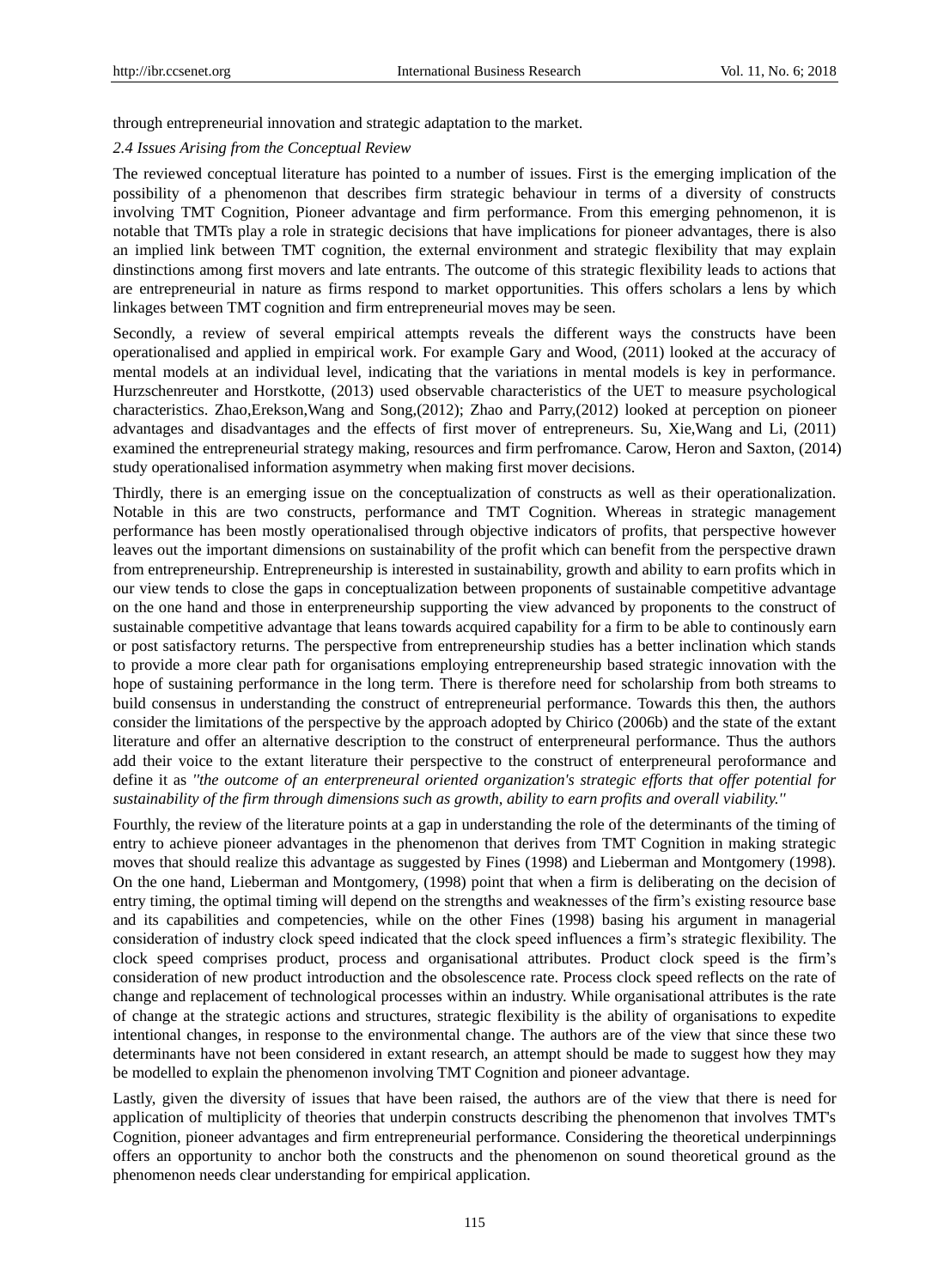through entrepreneurial innovation and strategic adaptation to the market.

#### *2.4 Issues Arising from the Conceptual Review*

The reviewed conceptual literature has pointed to a number of issues. First is the emerging implication of the possibility of a phenomenon that describes firm strategic behaviour in terms of a diversity of constructs involving TMT Cognition, Pioneer advantage and firm performance. From this emerging pehnomenon, it is notable that TMTs play a role in strategic decisions that have implications for pioneer advantages, there is also an implied link between TMT cognition, the external environment and strategic flexibility that may explain dinstinctions among first movers and late entrants. The outcome of this strategic flexibility leads to actions that are entrepreneurial in nature as firms respond to market opportunities. This offers scholars a lens by which linkages between TMT cognition and firm entrepreneurial moves may be seen.

Secondly, a review of several empirical attempts reveals the different ways the constructs have been operationalised and applied in empirical work. For example Gary and Wood, (2011) looked at the accuracy of mental models at an individual level, indicating that the variations in mental models is key in performance. Hurzschenreuter and Horstkotte, (2013) used observable characteristics of the UET to measure psychological characteristics. Zhao,Erekson,Wang and Song,(2012); Zhao and Parry,(2012) looked at perception on pioneer advantages and disadvantages and the effects of first mover of entrepreneurs. Su, Xie,Wang and Li, (2011) examined the entrepreneurial strategy making, resources and firm perfromance. Carow, Heron and Saxton, (2014) study operationalised information asymmetry when making first mover decisions.

Thirdly, there is an emerging issue on the conceptualization of constructs as well as their operationalization. Notable in this are two constructs, performance and TMT Cognition. Whereas in strategic management performance has been mostly operationalised through objective indicators of profits, that perspective however leaves out the important dimensions on sustainability of the profit which can benefit from the perspective drawn from entrepreneurship. Entrepreneurship is interested in sustainability, growth and ability to earn profits which in our view tends to close the gaps in conceptualization between proponents of sustainable competitive advantage on the one hand and those in enterpreneurship supporting the view advanced by proponents to the construct of sustainable competitive advantage that leans towards acquired capability for a firm to be able to continously earn or post satisfactory returns. The perspective from entrepreneurship studies has a better inclination which stands to provide a more clear path for organisations employing entrepreneurship based strategic innovation with the hope of sustaining performance in the long term. There is therefore need for scholarship from both streams to build consensus in understanding the construct of entrepreneurial performance. Towards this then, the authors consider the limitations of the perspective by the approach adopted by Chirico (2006b) and the state of the extant literature and offer an alternative description to the construct of enterpreneural performance. Thus the authors add their voice to the extant literature their perspective to the construct of enterpreneural peroformance and define it as *''the outcome of an enterpreneural oriented organization's strategic efforts that offer potential for sustainability of the firm through dimensions such as growth, ability to earn profits and overall viability.''*

Fourthly, the review of the literature points at a gap in understanding the role of the determinants of the timing of entry to achieve pioneer advantages in the phenomenon that derives from TMT Cognition in making strategic moves that should realize this advantage as suggested by Fines (1998) and Lieberman and Montgomery (1998). On the one hand, Lieberman and Montgomery, (1998) point that when a firm is deliberating on the decision of entry timing, the optimal timing will depend on the strengths and weaknesses of the firm's existing resource base and its capabilities and competencies, while on the other Fines (1998) basing his argument in managerial consideration of industry clock speed indicated that the clock speed influences a firm's strategic flexibility. The clock speed comprises product, process and organisational attributes. Product clock speed is the firm's consideration of new product introduction and the obsolescence rate. Process clock speed reflects on the rate of change and replacement of technological processes within an industry. While organisational attributes is the rate of change at the strategic actions and structures, strategic flexibility is the ability of organisations to expedite intentional changes, in response to the environmental change. The authors are of the view that since these two determinants have not been considered in extant research, an attempt should be made to suggest how they may be modelled to explain the phenomenon involving TMT Cognition and pioneer advantage.

Lastly, given the diversity of issues that have been raised, the authors are of the view that there is need for application of multiplicity of theories that underpin constructs describing the phenomenon that involves TMT's Cognition, pioneer advantages and firm entrepreneurial performance. Considering the theoretical underpinnings offers an opportunity to anchor both the constructs and the phenomenon on sound theoretical ground as the phenomenon needs clear understanding for empirical application.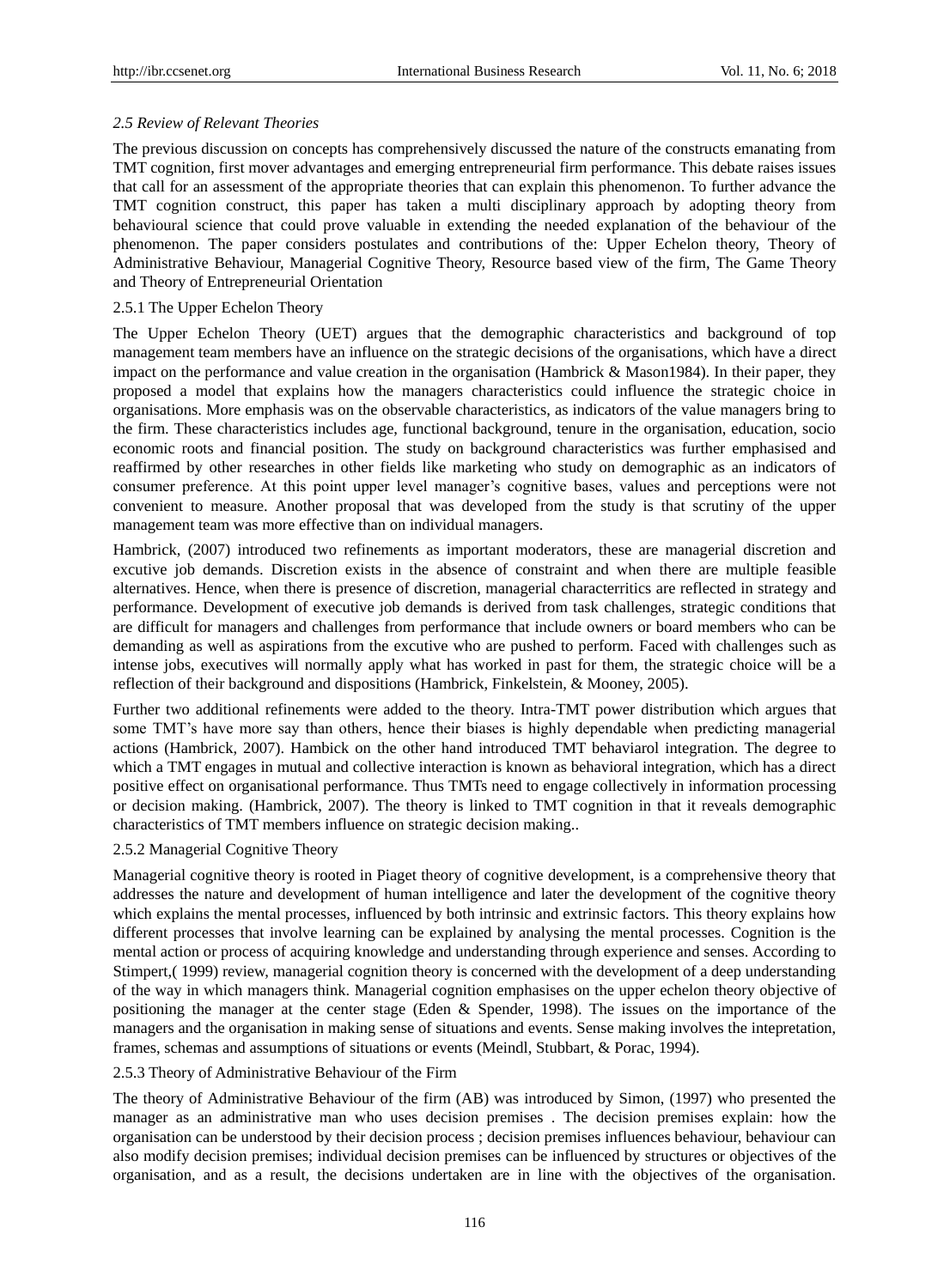# *2.5 Review of Relevant Theories*

The previous discussion on concepts has comprehensively discussed the nature of the constructs emanating from TMT cognition, first mover advantages and emerging entrepreneurial firm performance. This debate raises issues that call for an assessment of the appropriate theories that can explain this phenomenon. To further advance the TMT cognition construct, this paper has taken a multi disciplinary approach by adopting theory from behavioural science that could prove valuable in extending the needed explanation of the behaviour of the phenomenon. The paper considers postulates and contributions of the: Upper Echelon theory, Theory of Administrative Behaviour, Managerial Cognitive Theory, Resource based view of the firm, The Game Theory and Theory of Entrepreneurial Orientation

# 2.5.1 The Upper Echelon Theory

The Upper Echelon Theory (UET) argues that the demographic characteristics and background of top management team members have an influence on the strategic decisions of the organisations, which have a direct impact on the performance and value creation in the organisation (Hambrick & Mason1984). In their paper, they proposed a model that explains how the managers characteristics could influence the strategic choice in organisations. More emphasis was on the observable characteristics, as indicators of the value managers bring to the firm. These characteristics includes age, functional background, tenure in the organisation, education, socio economic roots and financial position. The study on background characteristics was further emphasised and reaffirmed by other researches in other fields like marketing who study on demographic as an indicators of consumer preference. At this point upper level manager's cognitive bases, values and perceptions were not convenient to measure. Another proposal that was developed from the study is that scrutiny of the upper management team was more effective than on individual managers.

Hambrick, (2007) introduced two refinements as important moderators, these are managerial discretion and excutive job demands. Discretion exists in the absence of constraint and when there are multiple feasible alternatives. Hence, when there is presence of discretion, managerial characterritics are reflected in strategy and performance. Development of executive job demands is derived from task challenges, strategic conditions that are difficult for managers and challenges from performance that include owners or board members who can be demanding as well as aspirations from the excutive who are pushed to perform. Faced with challenges such as intense jobs, executives will normally apply what has worked in past for them, the strategic choice will be a reflection of their background and dispositions (Hambrick, Finkelstein, & Mooney, 2005).

Further two additional refinements were added to the theory. Intra-TMT power distribution which argues that some TMT's have more say than others, hence their biases is highly dependable when predicting managerial actions (Hambrick, 2007). Hambick on the other hand introduced TMT behaviarol integration. The degree to which a TMT engages in mutual and collective interaction is known as behavioral integration, which has a direct positive effect on organisational performance. Thus TMTs need to engage collectively in information processing or decision making. (Hambrick, 2007). The theory is linked to TMT cognition in that it reveals demographic characteristics of TMT members influence on strategic decision making..

#### 2.5.2 Managerial Cognitive Theory

Managerial cognitive theory is rooted in Piaget theory of cognitive development, is a comprehensive theory that addresses the nature and development of human intelligence and later the development of the cognitive theory which explains the mental processes, influenced by both intrinsic and extrinsic factors. This theory explains how different processes that involve learning can be explained by analysing the mental processes. Cognition is the mental action or process of acquiring knowledge and understanding through experience and senses. According to Stimpert,( 1999) review, managerial cognition theory is concerned with the development of a deep understanding of the way in which managers think. Managerial cognition emphasises on the upper echelon theory objective of positioning the manager at the center stage (Eden & Spender, 1998). The issues on the importance of the managers and the organisation in making sense of situations and events. Sense making involves the intepretation, frames, schemas and assumptions of situations or events (Meindl, Stubbart, & Porac, 1994).

# 2.5.3 Theory of Administrative Behaviour of the Firm

The theory of Administrative Behaviour of the firm (AB) was introduced by Simon, (1997) who presented the manager as an administrative man who uses decision premises . The decision premises explain: how the organisation can be understood by their decision process ; decision premises influences behaviour, behaviour can also modify decision premises; individual decision premises can be influenced by structures or objectives of the organisation, and as a result, the decisions undertaken are in line with the objectives of the organisation.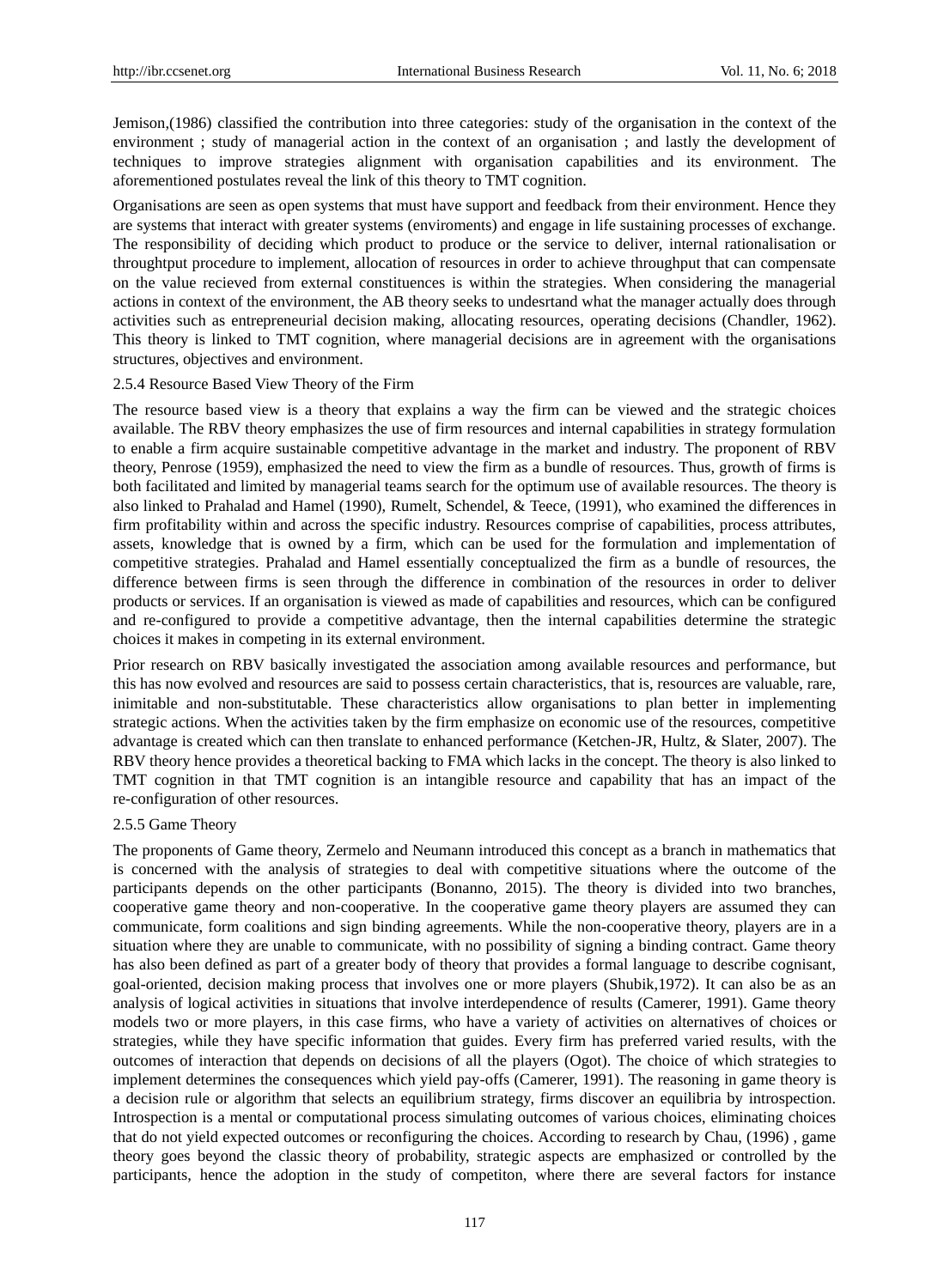Jemison,(1986) classified the contribution into three categories: study of the organisation in the context of the environment ; study of managerial action in the context of an organisation ; and lastly the development of techniques to improve strategies alignment with organisation capabilities and its environment. The aforementioned postulates reveal the link of this theory to TMT cognition.

Organisations are seen as open systems that must have support and feedback from their environment. Hence they are systems that interact with greater systems (enviroments) and engage in life sustaining processes of exchange. The responsibility of deciding which product to produce or the service to deliver, internal rationalisation or throughtput procedure to implement, allocation of resources in order to achieve throughput that can compensate on the value recieved from external constituences is within the strategies. When considering the managerial actions in context of the environment, the AB theory seeks to undesrtand what the manager actually does through activities such as entrepreneurial decision making, allocating resources, operating decisions (Chandler, 1962). This theory is linked to TMT cognition, where managerial decisions are in agreement with the organisations structures, objectives and environment.

#### 2.5.4 Resource Based View Theory of the Firm

The resource based view is a theory that explains a way the firm can be viewed and the strategic choices available. The RBV theory emphasizes the use of firm resources and internal capabilities in strategy formulation to enable a firm acquire sustainable competitive advantage in the market and industry. The proponent of RBV theory, Penrose (1959), emphasized the need to view the firm as a bundle of resources. Thus, growth of firms is both facilitated and limited by managerial teams search for the optimum use of available resources. The theory is also linked to Prahalad and Hamel (1990), Rumelt, Schendel, & Teece, (1991), who examined the differences in firm profitability within and across the specific industry. Resources comprise of capabilities, process attributes, assets, knowledge that is owned by a firm, which can be used for the formulation and implementation of competitive strategies. Prahalad and Hamel essentially conceptualized the firm as a bundle of resources, the difference between firms is seen through the difference in combination of the resources in order to deliver products or services. If an organisation is viewed as made of capabilities and resources, which can be configured and re-configured to provide a competitive advantage, then the internal capabilities determine the strategic choices it makes in competing in its external environment.

Prior research on RBV basically investigated the association among available resources and performance, but this has now evolved and resources are said to possess certain characteristics, that is, resources are valuable, rare, inimitable and non-substitutable. These characteristics allow organisations to plan better in implementing strategic actions. When the activities taken by the firm emphasize on economic use of the resources, competitive advantage is created which can then translate to enhanced performance (Ketchen-JR, Hultz, & Slater, 2007). The RBV theory hence provides a theoretical backing to FMA which lacks in the concept. The theory is also linked to TMT cognition in that TMT cognition is an intangible resource and capability that has an impact of the re-configuration of other resources.

#### 2.5.5 Game Theory

The proponents of Game theory, Zermelo and Neumann introduced this concept as a branch in mathematics that is concerned with the analysis of strategies to deal with competitive situations where the outcome of the participants depends on the other participants (Bonanno, 2015). The theory is divided into two branches, cooperative game theory and non-cooperative. In the cooperative game theory players are assumed they can communicate, form coalitions and sign binding agreements. While the non-cooperative theory, players are in a situation where they are unable to communicate, with no possibility of signing a binding contract. Game theory has also been defined as part of a greater body of theory that provides a formal language to describe cognisant, goal-oriented, decision making process that involves one or more players (Shubik,1972). It can also be as an analysis of logical activities in situations that involve interdependence of results (Camerer, 1991). Game theory models two or more players, in this case firms, who have a variety of activities on alternatives of choices or strategies, while they have specific information that guides. Every firm has preferred varied results, with the outcomes of interaction that depends on decisions of all the players (Ogot). The choice of which strategies to implement determines the consequences which yield pay-offs (Camerer, 1991). The reasoning in game theory is a decision rule or algorithm that selects an equilibrium strategy, firms discover an equilibria by introspection. Introspection is a mental or computational process simulating outcomes of various choices, eliminating choices that do not yield expected outcomes or reconfiguring the choices. According to research by Chau, (1996) , game theory goes beyond the classic theory of probability, strategic aspects are emphasized or controlled by the participants, hence the adoption in the study of competiton, where there are several factors for instance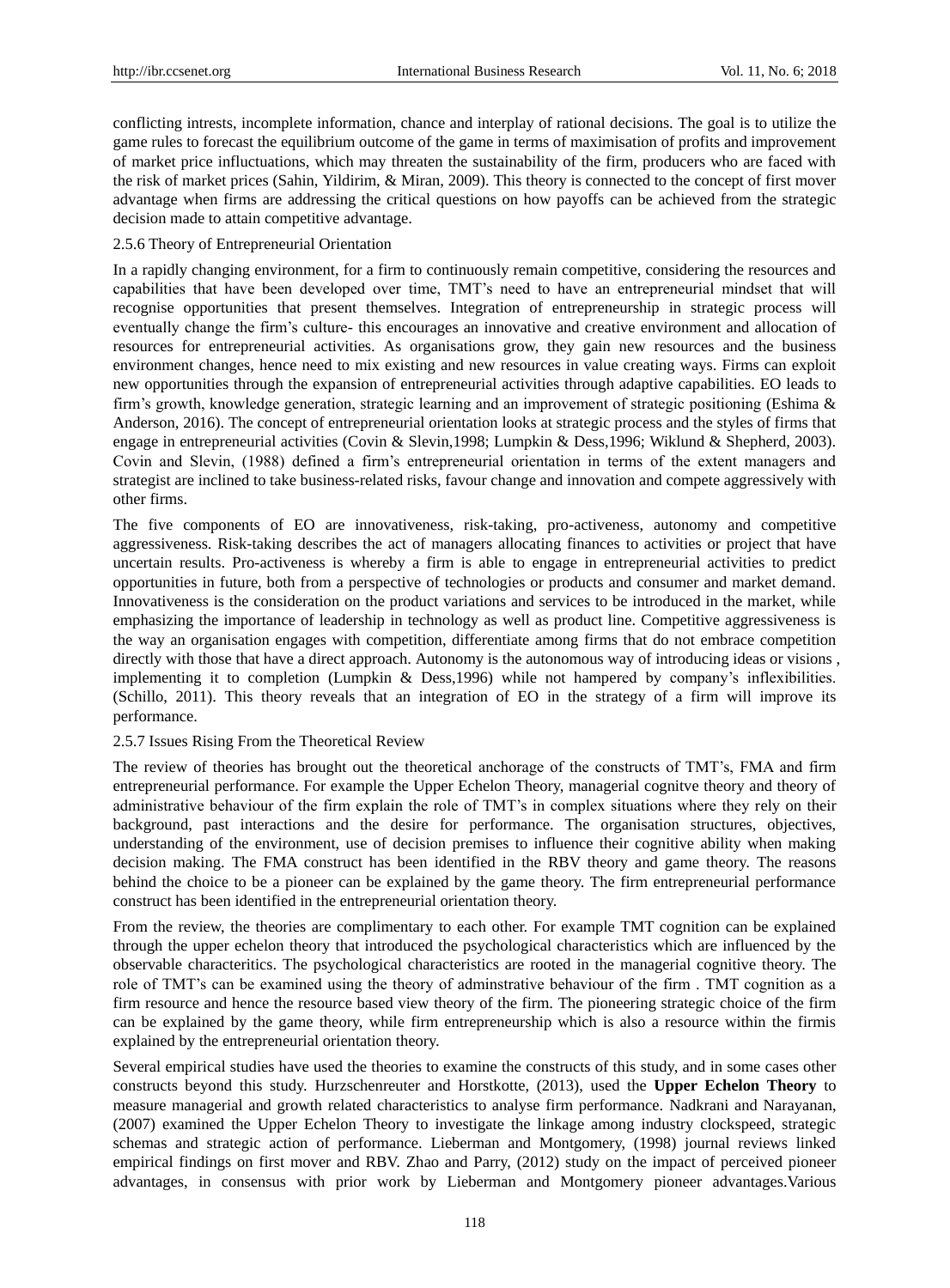conflicting intrests, incomplete information, chance and interplay of rational decisions. The goal is to utilize the game rules to forecast the equilibrium outcome of the game in terms of maximisation of profits and improvement of market price influctuations, which may threaten the sustainability of the firm, producers who are faced with the risk of market prices (Sahin, Yildirim, & Miran, 2009). This theory is connected to the concept of first mover advantage when firms are addressing the critical questions on how payoffs can be achieved from the strategic decision made to attain competitive advantage.

# 2.5.6 Theory of Entrepreneurial Orientation

In a rapidly changing environment, for a firm to continuously remain competitive, considering the resources and capabilities that have been developed over time, TMT's need to have an entrepreneurial mindset that will recognise opportunities that present themselves. Integration of entrepreneurship in strategic process will eventually change the firm's culture- this encourages an innovative and creative environment and allocation of resources for entrepreneurial activities. As organisations grow, they gain new resources and the business environment changes, hence need to mix existing and new resources in value creating ways. Firms can exploit new opportunities through the expansion of entrepreneurial activities through adaptive capabilities. EO leads to firm's growth, knowledge generation, strategic learning and an improvement of strategic positioning (Eshima & Anderson, 2016). The concept of entrepreneurial orientation looks at strategic process and the styles of firms that engage in entrepreneurial activities (Covin & Slevin,1998; Lumpkin & Dess,1996; Wiklund & Shepherd, 2003). Covin and Slevin, (1988) defined a firm's entrepreneurial orientation in terms of the extent managers and strategist are inclined to take business-related risks, favour change and innovation and compete aggressively with other firms.

The five components of EO are innovativeness, risk-taking, pro-activeness, autonomy and competitive aggressiveness. Risk-taking describes the act of managers allocating finances to activities or project that have uncertain results. Pro-activeness is whereby a firm is able to engage in entrepreneurial activities to predict opportunities in future, both from a perspective of technologies or products and consumer and market demand. Innovativeness is the consideration on the product variations and services to be introduced in the market, while emphasizing the importance of leadership in technology as well as product line. Competitive aggressiveness is the way an organisation engages with competition, differentiate among firms that do not embrace competition directly with those that have a direct approach. Autonomy is the autonomous way of introducing ideas or visions , implementing it to completion (Lumpkin & Dess,1996) while not hampered by company's inflexibilities. (Schillo, 2011). This theory reveals that an integration of EO in the strategy of a firm will improve its performance.

#### 2.5.7 Issues Rising From the Theoretical Review

The review of theories has brought out the theoretical anchorage of the constructs of TMT's, FMA and firm entrepreneurial performance. For example the Upper Echelon Theory, managerial cognitve theory and theory of administrative behaviour of the firm explain the role of TMT's in complex situations where they rely on their background, past interactions and the desire for performance. The organisation structures, objectives, understanding of the environment, use of decision premises to influence their cognitive ability when making decision making. The FMA construct has been identified in the RBV theory and game theory. The reasons behind the choice to be a pioneer can be explained by the game theory. The firm entrepreneurial performance construct has been identified in the entrepreneurial orientation theory.

From the review, the theories are complimentary to each other. For example TMT cognition can be explained through the upper echelon theory that introduced the psychological characteristics which are influenced by the observable characteritics. The psychological characteristics are rooted in the managerial cognitive theory. The role of TMT's can be examined using the theory of adminstrative behaviour of the firm . TMT cognition as a firm resource and hence the resource based view theory of the firm. The pioneering strategic choice of the firm can be explained by the game theory, while firm entrepreneurship which is also a resource within the firmis explained by the entrepreneurial orientation theory.

Several empirical studies have used the theories to examine the constructs of this study, and in some cases other constructs beyond this study. Hurzschenreuter and Horstkotte, (2013), used the **Upper Echelon Theory** to measure managerial and growth related characteristics to analyse firm performance. Nadkrani and Narayanan, (2007) examined the Upper Echelon Theory to investigate the linkage among industry clockspeed, strategic schemas and strategic action of performance. Lieberman and Montgomery, (1998) journal reviews linked empirical findings on first mover and RBV. Zhao and Parry, (2012) study on the impact of perceived pioneer advantages, in consensus with prior work by Lieberman and Montgomery pioneer advantages.Various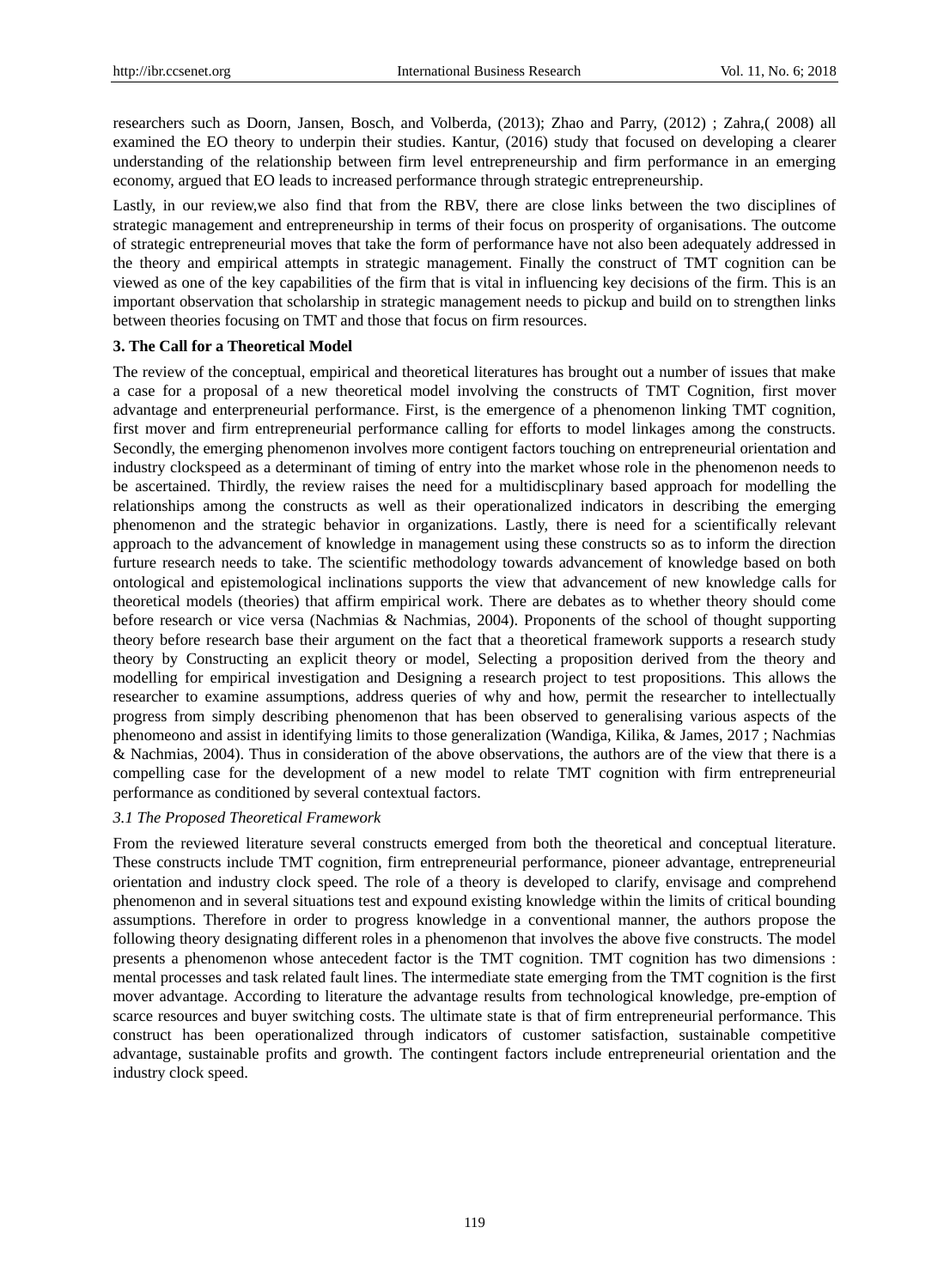researchers such as Doorn, Jansen, Bosch, and Volberda, (2013); Zhao and Parry, (2012) ; Zahra,( 2008) all examined the EO theory to underpin their studies. Kantur, (2016) study that focused on developing a clearer understanding of the relationship between firm level entrepreneurship and firm performance in an emerging economy, argued that EO leads to increased performance through strategic entrepreneurship.

Lastly, in our review,we also find that from the RBV, there are close links between the two disciplines of strategic management and entrepreneurship in terms of their focus on prosperity of organisations. The outcome of strategic entrepreneurial moves that take the form of performance have not also been adequately addressed in the theory and empirical attempts in strategic management. Finally the construct of TMT cognition can be viewed as one of the key capabilities of the firm that is vital in influencing key decisions of the firm. This is an important observation that scholarship in strategic management needs to pickup and build on to strengthen links between theories focusing on TMT and those that focus on firm resources.

# **3. The Call for a Theoretical Model**

The review of the conceptual, empirical and theoretical literatures has brought out a number of issues that make a case for a proposal of a new theoretical model involving the constructs of TMT Cognition, first mover advantage and enterpreneurial performance. First, is the emergence of a phenomenon linking TMT cognition, first mover and firm entrepreneurial performance calling for efforts to model linkages among the constructs. Secondly, the emerging phenomenon involves more contigent factors touching on entrepreneurial orientation and industry clockspeed as a determinant of timing of entry into the market whose role in the phenomenon needs to be ascertained. Thirdly, the review raises the need for a multidiscplinary based approach for modelling the relationships among the constructs as well as their operationalized indicators in describing the emerging phenomenon and the strategic behavior in organizations. Lastly, there is need for a scientifically relevant approach to the advancement of knowledge in management using these constructs so as to inform the direction furture research needs to take. The scientific methodology towards advancement of knowledge based on both ontological and epistemological inclinations supports the view that advancement of new knowledge calls for theoretical models (theories) that affirm empirical work. There are debates as to whether theory should come before research or vice versa (Nachmias & Nachmias, 2004). Proponents of the school of thought supporting theory before research base their argument on the fact that a theoretical framework supports a research study theory by Constructing an explicit theory or model, Selecting a proposition derived from the theory and modelling for empirical investigation and Designing a research project to test propositions. This allows the researcher to examine assumptions, address queries of why and how, permit the researcher to intellectually progress from simply describing phenomenon that has been observed to generalising various aspects of the phenomeono and assist in identifying limits to those generalization (Wandiga, Kilika, & James, 2017 ; Nachmias & Nachmias, 2004). Thus in consideration of the above observations, the authors are of the view that there is a compelling case for the development of a new model to relate TMT cognition with firm entrepreneurial performance as conditioned by several contextual factors.

#### *3.1 The Proposed Theoretical Framework*

From the reviewed literature several constructs emerged from both the theoretical and conceptual literature. These constructs include TMT cognition, firm entrepreneurial performance, pioneer advantage, entrepreneurial orientation and industry clock speed. The role of a theory is developed to clarify, envisage and comprehend phenomenon and in several situations test and expound existing knowledge within the limits of critical bounding assumptions. Therefore in order to progress knowledge in a conventional manner, the authors propose the following theory designating different roles in a phenomenon that involves the above five constructs. The model presents a phenomenon whose antecedent factor is the TMT cognition. TMT cognition has two dimensions : mental processes and task related fault lines. The intermediate state emerging from the TMT cognition is the first mover advantage. According to literature the advantage results from technological knowledge, pre-emption of scarce resources and buyer switching costs. The ultimate state is that of firm entrepreneurial performance. This construct has been operationalized through indicators of customer satisfaction, sustainable competitive advantage, sustainable profits and growth. The contingent factors include entrepreneurial orientation and the industry clock speed.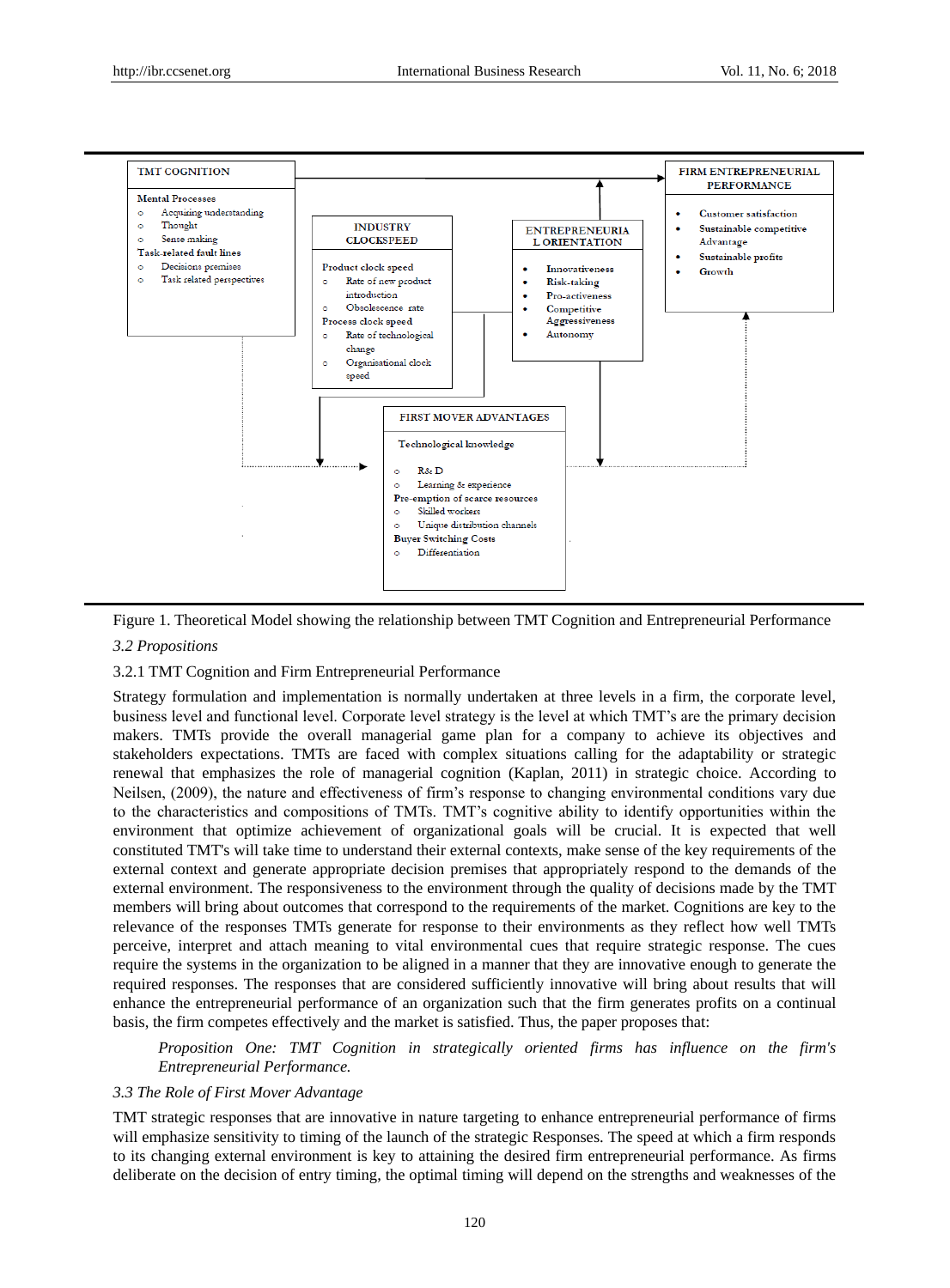

Figure 1. Theoretical Model showing the relationship between TMT Cognition and Entrepreneurial Performance *3.2 Propositions* 

# 3.2.1 TMT Cognition and Firm Entrepreneurial Performance

Strategy formulation and implementation is normally undertaken at three levels in a firm, the corporate level, business level and functional level. Corporate level strategy is the level at which TMT's are the primary decision makers. TMTs provide the overall managerial game plan for a company to achieve its objectives and stakeholders expectations. TMTs are faced with complex situations calling for the adaptability or strategic renewal that emphasizes the role of managerial cognition (Kaplan, 2011) in strategic choice. According to Neilsen, (2009), the nature and effectiveness of firm's response to changing environmental conditions vary due to the characteristics and compositions of TMTs. TMT's cognitive ability to identify opportunities within the environment that optimize achievement of organizational goals will be crucial. It is expected that well constituted TMT's will take time to understand their external contexts, make sense of the key requirements of the external context and generate appropriate decision premises that appropriately respond to the demands of the external environment. The responsiveness to the environment through the quality of decisions made by the TMT members will bring about outcomes that correspond to the requirements of the market. Cognitions are key to the relevance of the responses TMTs generate for response to their environments as they reflect how well TMTs perceive, interpret and attach meaning to vital environmental cues that require strategic response. The cues require the systems in the organization to be aligned in a manner that they are innovative enough to generate the required responses. The responses that are considered sufficiently innovative will bring about results that will enhance the entrepreneurial performance of an organization such that the firm generates profits on a continual basis, the firm competes effectively and the market is satisfied. Thus, the paper proposes that:

*Proposition One: TMT Cognition in strategically oriented firms has influence on the firm's Entrepreneurial Performance.*

#### *3.3 The Role of First Mover Advantage*

TMT strategic responses that are innovative in nature targeting to enhance entrepreneurial performance of firms will emphasize sensitivity to timing of the launch of the strategic Responses. The speed at which a firm responds to its changing external environment is key to attaining the desired firm entrepreneurial performance. As firms deliberate on the decision of entry timing, the optimal timing will depend on the strengths and weaknesses of the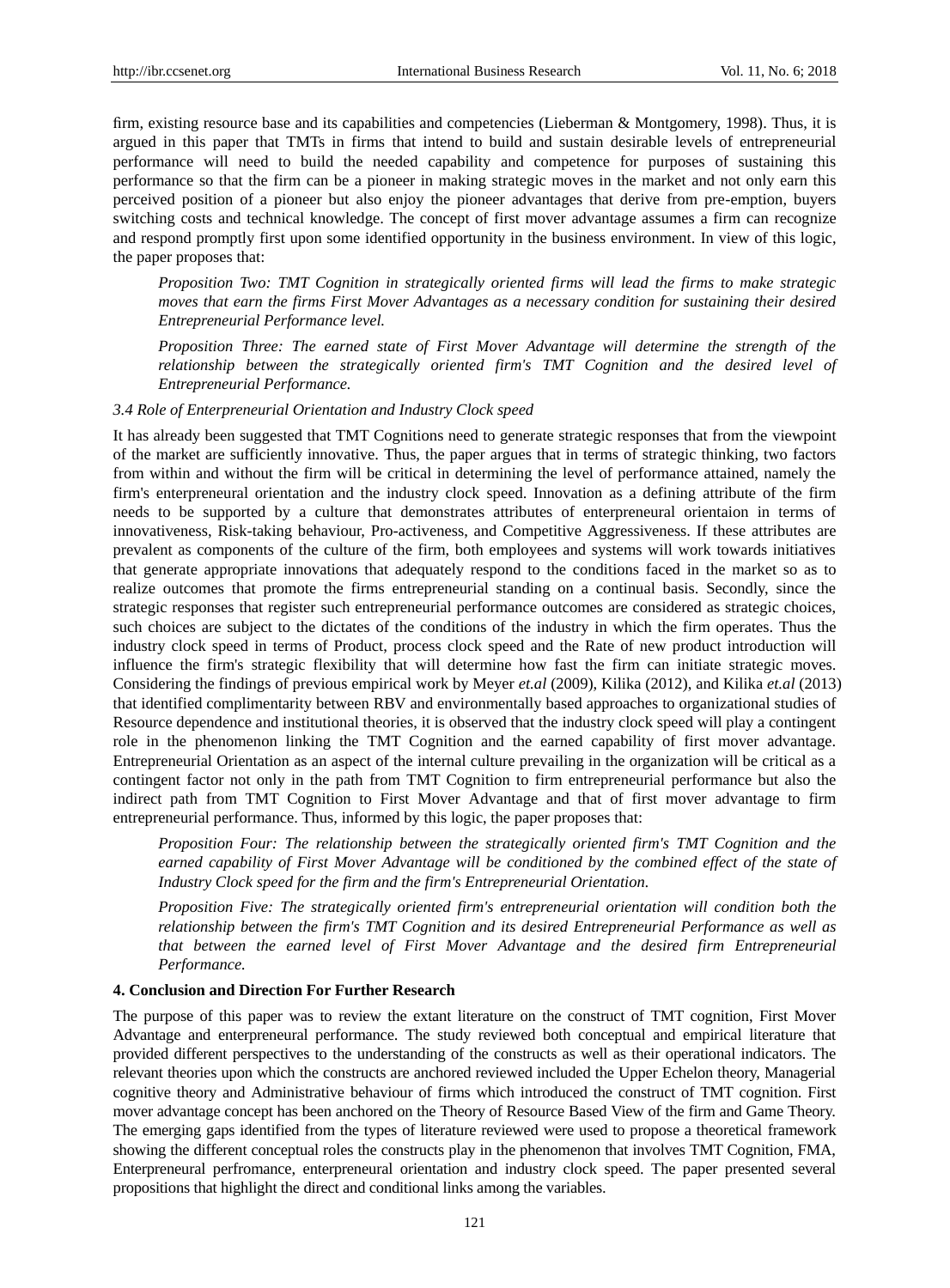firm, existing resource base and its capabilities and competencies (Lieberman & Montgomery, 1998). Thus, it is argued in this paper that TMTs in firms that intend to build and sustain desirable levels of entrepreneurial performance will need to build the needed capability and competence for purposes of sustaining this performance so that the firm can be a pioneer in making strategic moves in the market and not only earn this perceived position of a pioneer but also enjoy the pioneer advantages that derive from pre-emption, buyers switching costs and technical knowledge. The concept of first mover advantage assumes a firm can recognize and respond promptly first upon some identified opportunity in the business environment. In view of this logic, the paper proposes that:

*Proposition Two: TMT Cognition in strategically oriented firms will lead the firms to make strategic moves that earn the firms First Mover Advantages as a necessary condition for sustaining their desired Entrepreneurial Performance level.*

*Proposition Three: The earned state of First Mover Advantage will determine the strength of the relationship between the strategically oriented firm's TMT Cognition and the desired level of Entrepreneurial Performance.*

#### *3.4 Role of Enterpreneurial Orientation and Industry Clock speed*

It has already been suggested that TMT Cognitions need to generate strategic responses that from the viewpoint of the market are sufficiently innovative. Thus, the paper argues that in terms of strategic thinking, two factors from within and without the firm will be critical in determining the level of performance attained, namely the firm's enterpreneural orientation and the industry clock speed. Innovation as a defining attribute of the firm needs to be supported by a culture that demonstrates attributes of enterpreneural orientaion in terms of innovativeness, Risk-taking behaviour, Pro-activeness, and Competitive Aggressiveness. If these attributes are prevalent as components of the culture of the firm, both employees and systems will work towards initiatives that generate appropriate innovations that adequately respond to the conditions faced in the market so as to realize outcomes that promote the firms entrepreneurial standing on a continual basis. Secondly, since the strategic responses that register such entrepreneurial performance outcomes are considered as strategic choices, such choices are subject to the dictates of the conditions of the industry in which the firm operates. Thus the industry clock speed in terms of Product, process clock speed and the Rate of new product introduction will influence the firm's strategic flexibility that will determine how fast the firm can initiate strategic moves. Considering the findings of previous empirical work by Meyer *et.al* (2009), Kilika (2012), and Kilika *et.al* (2013) that identified complimentarity between RBV and environmentally based approaches to organizational studies of Resource dependence and institutional theories, it is observed that the industry clock speed will play a contingent role in the phenomenon linking the TMT Cognition and the earned capability of first mover advantage. Entrepreneurial Orientation as an aspect of the internal culture prevailing in the organization will be critical as a contingent factor not only in the path from TMT Cognition to firm entrepreneurial performance but also the indirect path from TMT Cognition to First Mover Advantage and that of first mover advantage to firm entrepreneurial performance. Thus, informed by this logic, the paper proposes that:

*Proposition Four: The relationship between the strategically oriented firm's TMT Cognition and the earned capability of First Mover Advantage will be conditioned by the combined effect of the state of Industry Clock speed for the firm and the firm's Entrepreneurial Orientation.*

*Proposition Five: The strategically oriented firm's entrepreneurial orientation will condition both the relationship between the firm's TMT Cognition and its desired Entrepreneurial Performance as well as that between the earned level of First Mover Advantage and the desired firm Entrepreneurial Performance.*

#### **4. Conclusion and Direction For Further Research**

The purpose of this paper was to review the extant literature on the construct of TMT cognition, First Mover Advantage and enterpreneural performance. The study reviewed both conceptual and empirical literature that provided different perspectives to the understanding of the constructs as well as their operational indicators. The relevant theories upon which the constructs are anchored reviewed included the Upper Echelon theory, Managerial cognitive theory and Administrative behaviour of firms which introduced the construct of TMT cognition. First mover advantage concept has been anchored on the Theory of Resource Based View of the firm and Game Theory. The emerging gaps identified from the types of literature reviewed were used to propose a theoretical framework showing the different conceptual roles the constructs play in the phenomenon that involves TMT Cognition, FMA, Enterpreneural perfromance, enterpreneural orientation and industry clock speed. The paper presented several propositions that highlight the direct and conditional links among the variables.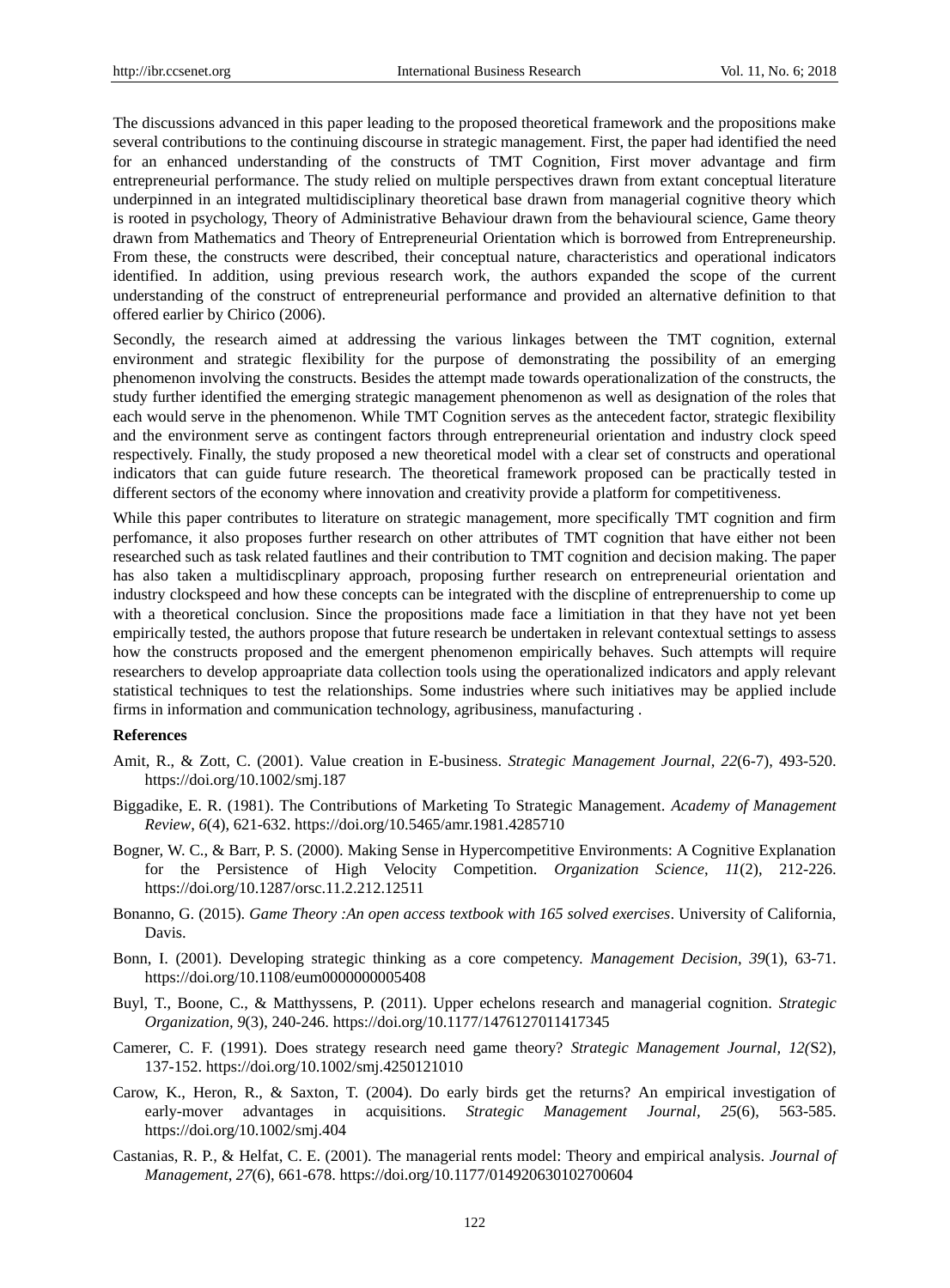The discussions advanced in this paper leading to the proposed theoretical framework and the propositions make several contributions to the continuing discourse in strategic management. First, the paper had identified the need for an enhanced understanding of the constructs of TMT Cognition, First mover advantage and firm entrepreneurial performance. The study relied on multiple perspectives drawn from extant conceptual literature underpinned in an integrated multidisciplinary theoretical base drawn from managerial cognitive theory which is rooted in psychology, Theory of Administrative Behaviour drawn from the behavioural science, Game theory drawn from Mathematics and Theory of Entrepreneurial Orientation which is borrowed from Entrepreneurship. From these, the constructs were described, their conceptual nature, characteristics and operational indicators identified. In addition, using previous research work, the authors expanded the scope of the current understanding of the construct of entrepreneurial performance and provided an alternative definition to that offered earlier by Chirico (2006).

Secondly, the research aimed at addressing the various linkages between the TMT cognition, external environment and strategic flexibility for the purpose of demonstrating the possibility of an emerging phenomenon involving the constructs. Besides the attempt made towards operationalization of the constructs, the study further identified the emerging strategic management phenomenon as well as designation of the roles that each would serve in the phenomenon. While TMT Cognition serves as the antecedent factor, strategic flexibility and the environment serve as contingent factors through entrepreneurial orientation and industry clock speed respectively. Finally, the study proposed a new theoretical model with a clear set of constructs and operational indicators that can guide future research. The theoretical framework proposed can be practically tested in different sectors of the economy where innovation and creativity provide a platform for competitiveness.

While this paper contributes to literature on strategic management, more specifically TMT cognition and firm perfomance, it also proposes further research on other attributes of TMT cognition that have either not been researched such as task related fautlines and their contribution to TMT cognition and decision making. The paper has also taken a multidiscplinary approach, proposing further research on entrepreneurial orientation and industry clockspeed and how these concepts can be integrated with the discpline of entreprenuership to come up with a theoretical conclusion. Since the propositions made face a limitiation in that they have not yet been empirically tested, the authors propose that future research be undertaken in relevant contextual settings to assess how the constructs proposed and the emergent phenomenon empirically behaves. Such attempts will require researchers to develop approapriate data collection tools using the operationalized indicators and apply relevant statistical techniques to test the relationships. Some industries where such initiatives may be applied include firms in information and communication technology, agribusiness, manufacturing .

#### **References**

- Amit, R., & Zott, C. (2001). Value creation in E-business. *Strategic Management Journal*, *22*(6-7), 493-520. https://doi.org/10.1002/smj.187
- Biggadike, E. R. (1981). The Contributions of Marketing To Strategic Management. *Academy of Management Review*, *6*(4), 621-632. https://doi.org/10.5465/amr.1981.4285710
- Bogner, W. C., & Barr, P. S. (2000). Making Sense in Hypercompetitive Environments: A Cognitive Explanation for the Persistence of High Velocity Competition. *Organization Science*, *11*(2), 212-226. <https://doi.org/10.1287/orsc.11.2.212.12511>
- Bonanno, G. (2015). *Game Theory :An open access textbook with 165 solved exercises*. University of California, Davis.
- Bonn, I. (2001). Developing strategic thinking as a core competency. *Management Decision*, *39*(1), 63-71. https://doi.org/10.1108/eum0000000005408
- Buyl, T., Boone, C., & Matthyssens, P. (2011). Upper echelons research and managerial cognition. *Strategic Organization, 9*(3), 240-246.<https://doi.org/10.1177/1476127011417345>
- Camerer, C. F. (1991). Does strategy research need game theory? *Strategic Management Journal, 12(*S2), 137-152. https://doi.org/10.1002/smj.4250121010
- Carow, K., Heron, R., & Saxton, T. (2004). Do early birds get the returns? An empirical investigation of early-mover advantages in acquisitions. *Strategic Management Journal, 25*(6), 563-585. <https://doi.org/10.1002/smj.404>
- Castanias, R. P., & Helfat, C. E. (2001). The managerial rents model: Theory and empirical analysis. *Journal of Management*, *27*(6), 661-678. https://doi.org/10.1177/014920630102700604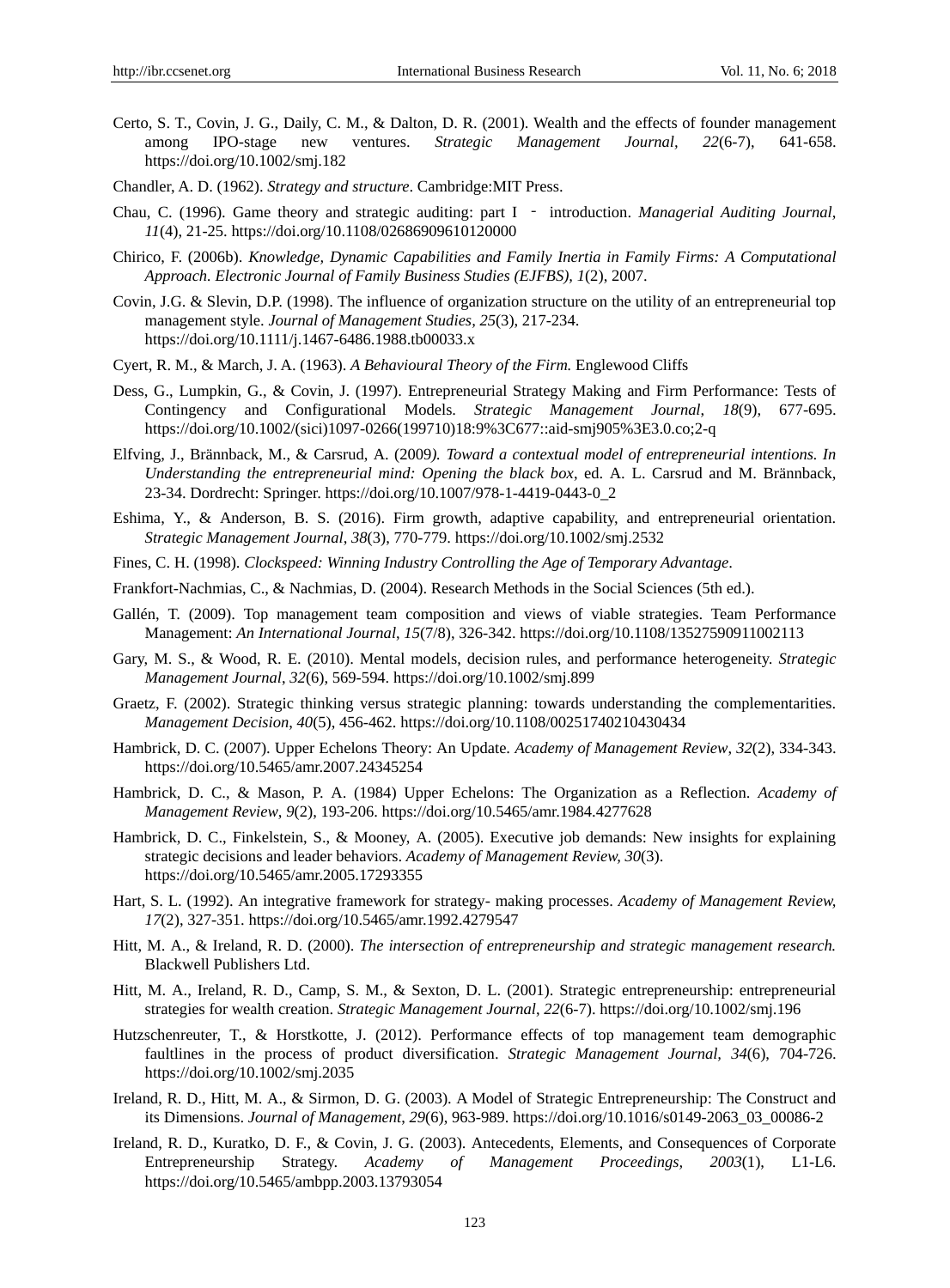- Certo, S. T., Covin, J. G., Daily, C. M., & Dalton, D. R. (2001). Wealth and the effects of founder management among IPO-stage new ventures. *Strategic Management Journal, 22*(6-7), 641-658. https://doi.org/10.1002/smj.182
- Chandler, A. D. (1962). *Strategy and structure*. Cambridge:MIT Press.
- Chau, C. (1996). Game theory and strategic auditing: part I ‐ introduction. *Managerial Auditing Journal*, *11*(4), 21-25. https://doi.org/10.1108/02686909610120000
- Chirico, F. (2006b). *Knowledge, Dynamic Capabilities and Family Inertia in Family Firms: A Computational Approach. Electronic Journal of Family Business Studies (EJFBS), 1*(2), 2007.
- Covin, J.G. & Slevin, D.P. (1998). The influence of organization structure on the utility of an entrepreneurial top management style. *Journal of Management Studies, 25*(3), 217-234. https://doi.org/10.1111/j.1467-6486.1988.tb00033.x
- Cyert, R. M., & March, J. A. (1963). *A Behavioural Theory of the Firm.* Englewood Cliffs
- Dess, G., Lumpkin, G., & Covin, J. (1997). Entrepreneurial Strategy Making and Firm Performance: Tests of Contingency and Configurational Models. *Strategic Management Journal*, *18*(9), 677-695. [https://doi.org/10.1002/\(sici\)1097-0266\(199710\)18:9%3C677::aid-smj905%3E3.0.co;2-q](https://doi.org/10.1002/(sici)1097-0266(199710)18:9%3C677::aid-smj905%3E3.0.co;2-q)
- Elfving, J., Brännback, M., & Carsrud, A. (2009*). Toward a contextual model of entrepreneurial intentions. In Understanding the entrepreneurial mind: Opening the black box*, ed. A. L. Carsrud and M. Brännback, 23-34. Dordrecht: Springer. https://doi.org/10.1007/978-1-4419-0443-0\_2
- Eshima, Y., & Anderson, B. S. (2016). Firm growth, adaptive capability, and entrepreneurial orientation. *Strategic Management Journal*, *38*(3), 770-779.<https://doi.org/10.1002/smj.2532>
- Fines, C. H. (1998). *Clockspeed: Winning Industry Controlling the Age of Temporary Advantage*.
- Frankfort-Nachmias, C., & Nachmias, D. (2004). Research Methods in the Social Sciences (5th ed.).
- Gallén, T. (2009). Top management team composition and views of viable strategies. Team Performance Management: *An International Journal*, *15*(7/8), 326-342. https://doi.org/10.1108/13527590911002113
- Gary, M. S., & Wood, R. E. (2010). Mental models, decision rules, and performance heterogeneity. *Strategic Management Journal*, *32*(6), 569-594. https://doi.org/10.1002/smj.899
- Graetz, F. (2002). Strategic thinking versus strategic planning: towards understanding the complementarities. *Management Decision*, *40*(5), 456-462.<https://doi.org/10.1108/00251740210430434>
- Hambrick, D. C. (2007). Upper Echelons Theory: An Update. *Academy of Management Review*, *32*(2), 334-343. <https://doi.org/10.5465/amr.2007.24345254>
- Hambrick, D. C., & Mason, P. A. (1984) Upper Echelons: The Organization as a Reflection. *Academy of Management Review*, *9*(2), 193-206[. https://doi.org/10.5465/amr.1984.4277628](https://doi.org/10.5465/amr.1984.4277628)
- Hambrick, D. C., Finkelstein, S., & Mooney, A. (2005). Executive job demands: New insights for explaining strategic decisions and leader behaviors. *Academy of Management Review, 30*(3). <https://doi.org/10.5465/amr.2005.17293355>
- Hart, S. L. (1992). An integrative framework for strategy- making processes. *Academy of Management Review, 17*(2), 327-351.<https://doi.org/10.5465/amr.1992.4279547>
- Hitt, M. A., & Ireland, R. D. (2000). *The intersection of entrepreneurship and strategic management research.* Blackwell Publishers Ltd.
- Hitt, M. A., Ireland, R. D., Camp, S. M., & Sexton, D. L. (2001). Strategic entrepreneurship: entrepreneurial strategies for wealth creation. *Strategic Management Journal*, *22*(6-7). <https://doi.org/10.1002/smj.196>
- Hutzschenreuter, T., & Horstkotte, J. (2012). Performance effects of top management team demographic faultlines in the process of product diversification. *Strategic Management Journal, 34*(6), 704-726. https://doi.org/10.1002/smj.2035
- Ireland, R. D., Hitt, M. A., & Sirmon, D. G. (2003). A Model of Strategic Entrepreneurship: The Construct and its Dimensions. *Journal of Management*, *29*(6), 963-989[. https://doi.org/10.1016/s0149-2063\\_03\\_00086-2](https://doi.org/10.1016/s0149-2063_03_00086-2)
- Ireland, R. D., Kuratko, D. F., & Covin, J. G. (2003). Antecedents, Elements, and Consequences of Corporate Entrepreneurship Strategy. *Academy of Management Proceedings, 2003*(1), L1-L6. https://doi.org/10.5465/ambpp.2003.13793054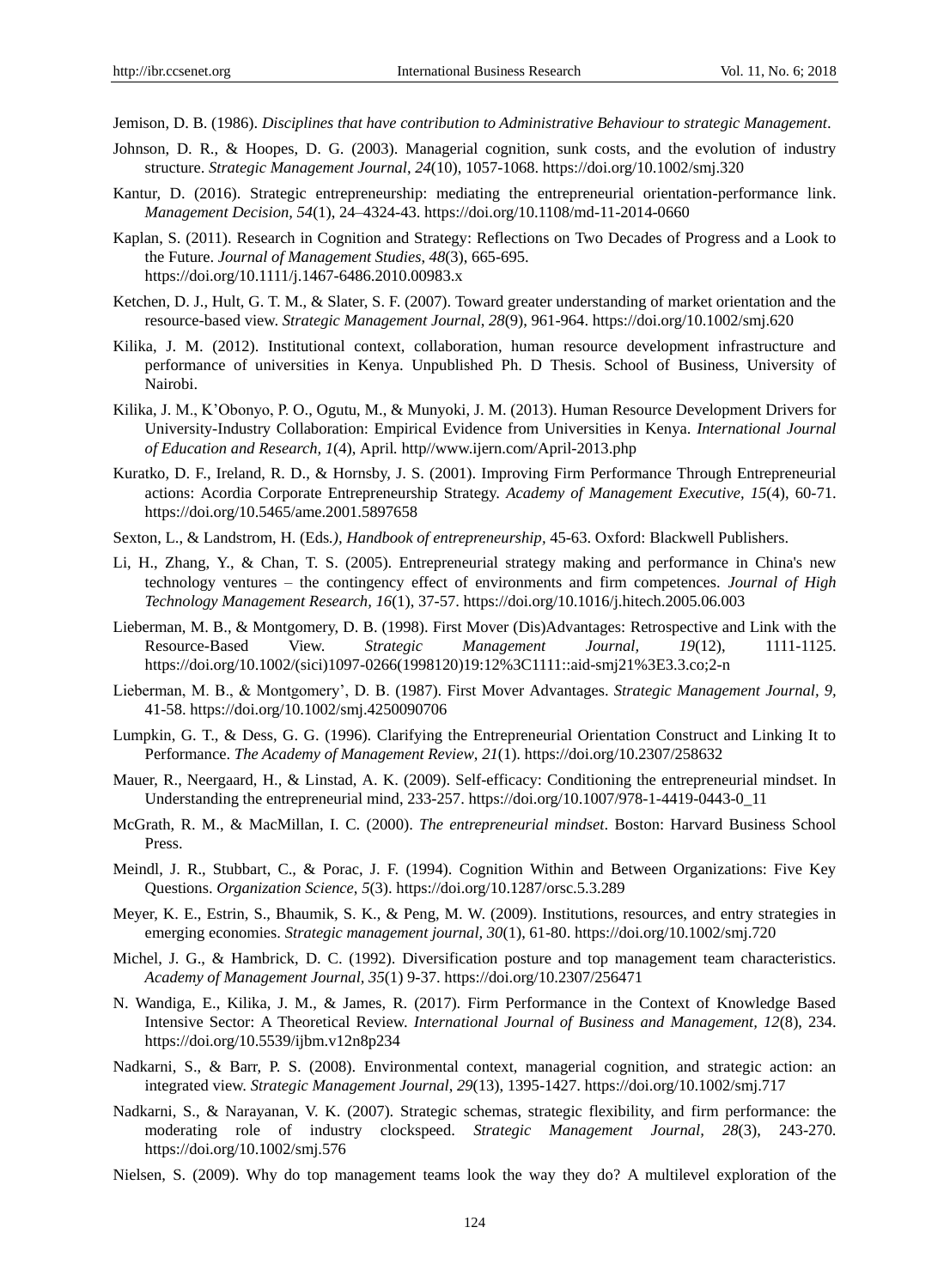- Jemison, D. B. (1986). *Disciplines that have contribution to Administrative Behaviour to strategic Management*.
- Johnson, D. R., & Hoopes, D. G. (2003). Managerial cognition, sunk costs, and the evolution of industry structure. *Strategic Management Journal*, *24*(10), 1057-1068.<https://doi.org/10.1002/smj.320>
- Kantur, D. (2016). Strategic entrepreneurship: mediating the entrepreneurial orientation-performance link. *Management Decision, 54*(1), 24–4324-43. https://doi.org/10.1108/md-11-2014-0660
- Kaplan, S. (2011). Research in Cognition and Strategy: Reflections on Two Decades of Progress and a Look to the Future. *Journal of Management Studies*, *48*(3), 665-695. <https://doi.org/10.1111/j.1467-6486.2010.00983.x>
- Ketchen, D. J., Hult, G. T. M., & Slater, S. F. (2007). Toward greater understanding of market orientation and the resource-based view. *Strategic Management Journal*, *28*(9), 961-964[. https://doi.org/10.1002/smj.620](https://doi.org/10.1002/smj.620)
- Kilika, J. M. (2012). Institutional context, collaboration, human resource development infrastructure and performance of universities in Kenya. Unpublished Ph. D Thesis. School of Business, University of Nairobi.
- Kilika, J. M., K'Obonyo, P. O., Ogutu, M., & Munyoki, J. M. (2013). Human Resource Development Drivers for University-Industry Collaboration: Empirical Evidence from Universities in Kenya. *International Journal of Education and Research, 1*(4), April*.* http//www.ijern.com/April-2013.php
- Kuratko, D. F., Ireland, R. D., & Hornsby, J. S. (2001). Improving Firm Performance Through Entrepreneurial actions: Acordia Corporate Entrepreneurship Strategy. *Academy of Management Executive, 15*(4), 60-71. <https://doi.org/10.5465/ame.2001.5897658>
- Sexton, L., & Landstrom, H. (Eds*.), Handbook of entrepreneurship,* 45-63. Oxford: Blackwell Publishers.
- Li, H., Zhang, Y., & Chan, T. S. (2005). Entrepreneurial strategy making and performance in China's new technology ventures – the contingency effect of environments and firm competences. *Journal of High Technology Management Research, 16*(1), 37-57[. https://doi.org/10.1016/j.hitech.2005.06.003](https://doi.org/10.1016/j.hitech.2005.06.003)
- Lieberman, M. B., & Montgomery, D. B. (1998). First Mover (Dis)Advantages: Retrospective and Link with the Resource-Based View. *Strategic Management Journal, 19*(12), 1111-1125. [https://doi.org/10.1002/\(sici\)1097-0266\(1998120\)19:12%3C1111::aid-smj21%3E3.3.co;2-n](https://doi.org/10.1002/(sici)1097-0266(1998120)19:12%3C1111::aid-smj21%3E3.3.co;2-n)
- Lieberman, M. B., & Montgomery', D. B. (1987). First Mover Advantages. *Strategic Management Journal, 9,* 41-58. https://doi.org/10.1002/smj.4250090706
- Lumpkin, G. T., & Dess, G. G. (1996). Clarifying the Entrepreneurial Orientation Construct and Linking It to Performance. *The Academy of Management Review*, *21*(1). https://doi.org/10.2307/258632
- Mauer, R., Neergaard, H., & Linstad, A. K. (2009). Self-efficacy: Conditioning the entrepreneurial mindset. In Understanding the entrepreneurial mind, 233-257. https://doi.org/10.1007/978-1-4419-0443-0\_11
- McGrath, R. M., & MacMillan, I. C. (2000). *The entrepreneurial mindset*. Boston: Harvard Business School Press.
- Meindl, J. R., Stubbart, C., & Porac, J. F. (1994). Cognition Within and Between Organizations: Five Key Questions. *Organization Science*, *5*(3). https://doi.org/10.1287/orsc.5.3.289
- Meyer, K. E., Estrin, S., Bhaumik, S. K., & Peng, M. W. (2009). Institutions, resources, and entry strategies in emerging economies. *Strategic management journal, 30*(1), 61-80. https://doi.org/10.1002/smj.720
- Michel, J. G., & Hambrick, D. C. (1992). Diversification posture and top management team characteristics. *Academy of Management Journal, 35*(1) 9-37. https://doi.org/10.2307/256471
- N. Wandiga, E., Kilika, J. M., & James, R. (2017). Firm Performance in the Context of Knowledge Based Intensive Sector: A Theoretical Review. *International Journal of Business and Management, 12*(8), 234. <https://doi.org/10.5539/ijbm.v12n8p234>
- Nadkarni, S., & Barr, P. S. (2008). Environmental context, managerial cognition, and strategic action: an integrated view. *Strategic Management Journal*, *29*(13), 1395-1427. https://doi.org/10.1002/smj.717
- Nadkarni, S., & Narayanan, V. K. (2007). Strategic schemas, strategic flexibility, and firm performance: the moderating role of industry clockspeed. *Strategic Management Journal, 28*(3), 243-270. <https://doi.org/10.1002/smj.576>
- Nielsen, S. (2009). Why do top management teams look the way they do? A multilevel exploration of the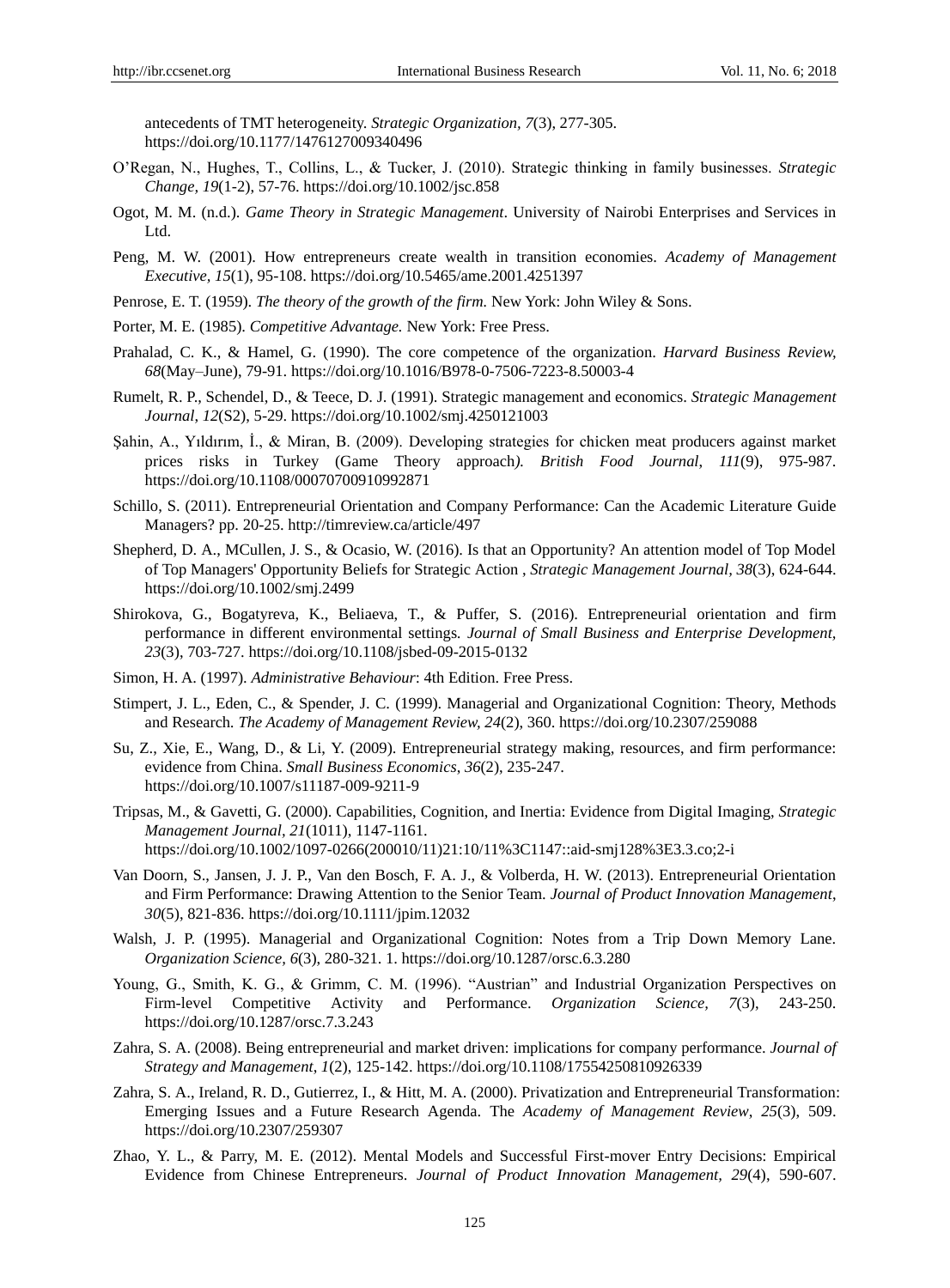antecedents of TMT heterogeneity. *Strategic Organization, 7*(3), 277-305. https://doi.org/10.1177/1476127009340496

- O'Regan, N., Hughes, T., Collins, L., & Tucker, J. (2010). Strategic thinking in family businesses. *Strategic Change, 19*(1-2), 57-76.<https://doi.org/10.1002/jsc.858>
- Ogot, M. M. (n.d.). *Game Theory in Strategic Management*. University of Nairobi Enterprises and Services in Ltd.
- Peng, M. W. (2001). How entrepreneurs create wealth in transition economies. *Academy of Management Executive, 15*(1), 95-108. https://doi.org/10.5465/ame.2001.4251397
- Penrose, E. T. (1959). *The theory of the growth of the firm.* New York: John Wiley & Sons.
- Porter, M. E. (1985). *Competitive Advantage.* New York: Free Press.
- Prahalad, C. K., & Hamel, G. (1990). The core competence of the organization. *Harvard Business Review, 68*(May–June), 79-91. https://doi.org/10.1016/B978-0-7506-7223-8.50003-4
- Rumelt, R. P., Schendel, D., & Teece, D. J. (1991). Strategic management and economics. *Strategic Management Journal*, *12*(S2), 5-29[. https://doi.org/10.1002/smj.4250121003](https://doi.org/10.1002/smj.4250121003)
- Şahin, A., Yıldırım, İ., & Miran, B. (2009). Developing strategies for chicken meat producers against market prices risks in Turkey (Game Theory approach*). British Food Journal*, *111*(9), 975-987. <https://doi.org/10.1108/00070700910992871>
- Schillo, S. (2011). Entrepreneurial Orientation and Company Performance: Can the Academic Literature Guide Managers? pp. 20-25. http://timreview.ca/article/497
- Shepherd, D. A., MCullen, J. S., & Ocasio, W. (2016). Is that an Opportunity? An attention model of Top Model of Top Managers' Opportunity Beliefs for Strategic Action , *Strategic Management Journal, 38*(3), 624-644. <https://doi.org/10.1002/smj.2499>
- Shirokova, G., Bogatyreva, K., Beliaeva, T., & Puffer, S. (2016). Entrepreneurial orientation and firm performance in different environmental settings*. Journal of Small Business and Enterprise Development, 23*(3), 703-727. https://doi.org/10.1108/jsbed-09-2015-0132
- Simon, H. A. (1997). *Administrative Behaviour*: 4th Edition. Free Press.
- Stimpert, J. L., Eden, C., & Spender, J. C. (1999). Managerial and Organizational Cognition: Theory, Methods and Research*. The Academy of Management Review, 24*(2), 360. https://doi.org/10.2307/259088
- Su, Z., Xie, E., Wang, D., & Li, Y. (2009). Entrepreneurial strategy making, resources, and firm performance: evidence from China. *Small Business Economics*, *36*(2), 235-247. <https://doi.org/10.1007/s11187-009-9211-9>
- Tripsas, M., & Gavetti, G. (2000). Capabilities, Cognition, and Inertia: Evidence from Digital Imaging, *Strategic Management Journal, 21*(1011), 1147-1161. https://doi.org/10.1002/1097-0266(200010/11)21:10/11%3C1147::aid-smj128%3E3.3.co;2-i
- Van Doorn, S., Jansen, J. J. P., Van den Bosch, F. A. J., & Volberda, H. W. (2013). Entrepreneurial Orientation and Firm Performance: Drawing Attention to the Senior Team. *Journal of Product Innovation Management*, *30*(5), 821-836. https://doi.org/10.1111/jpim.12032
- Walsh, J. P. (1995). Managerial and Organizational Cognition: Notes from a Trip Down Memory Lane. *Organization Science, 6*(3), 280-321. 1. https://doi.org/10.1287/orsc.6.3.280
- Young, G., Smith, K. G., & Grimm, C. M. (1996). "Austrian" and Industrial Organization Perspectives on Firm-level Competitive Activity and Performance. *Organization Science, 7*(3), 243-250. <https://doi.org/10.1287/orsc.7.3.243>
- Zahra, S. A. (2008). Being entrepreneurial and market driven: implications for company performance. *Journal of Strategy and Management*, *1*(2), 125-142. https://doi.org/10.1108/17554250810926339
- Zahra, S. A., Ireland, R. D., Gutierrez, I., & Hitt, M. A. (2000). Privatization and Entrepreneurial Transformation: Emerging Issues and a Future Research Agenda. The *Academy of Management Review*, *25*(3), 509. https://doi.org/10.2307/259307
- Zhao, Y. L., & Parry, M. E. (2012). Mental Models and Successful First-mover Entry Decisions: Empirical Evidence from Chinese Entrepreneurs. *Journal of Product Innovation Management, 29*(4), 590-607.